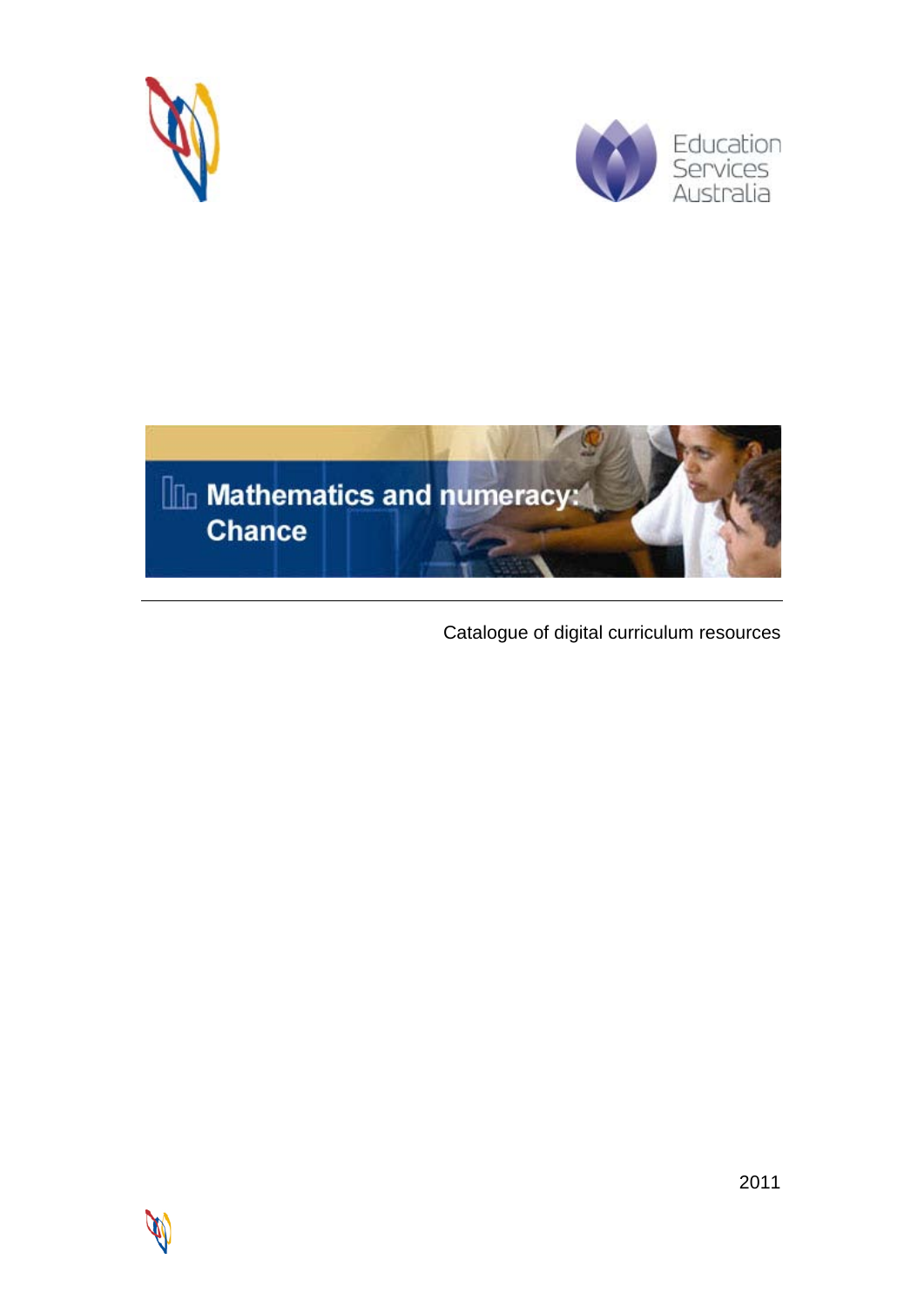





Catalogue of digital curriculum resources

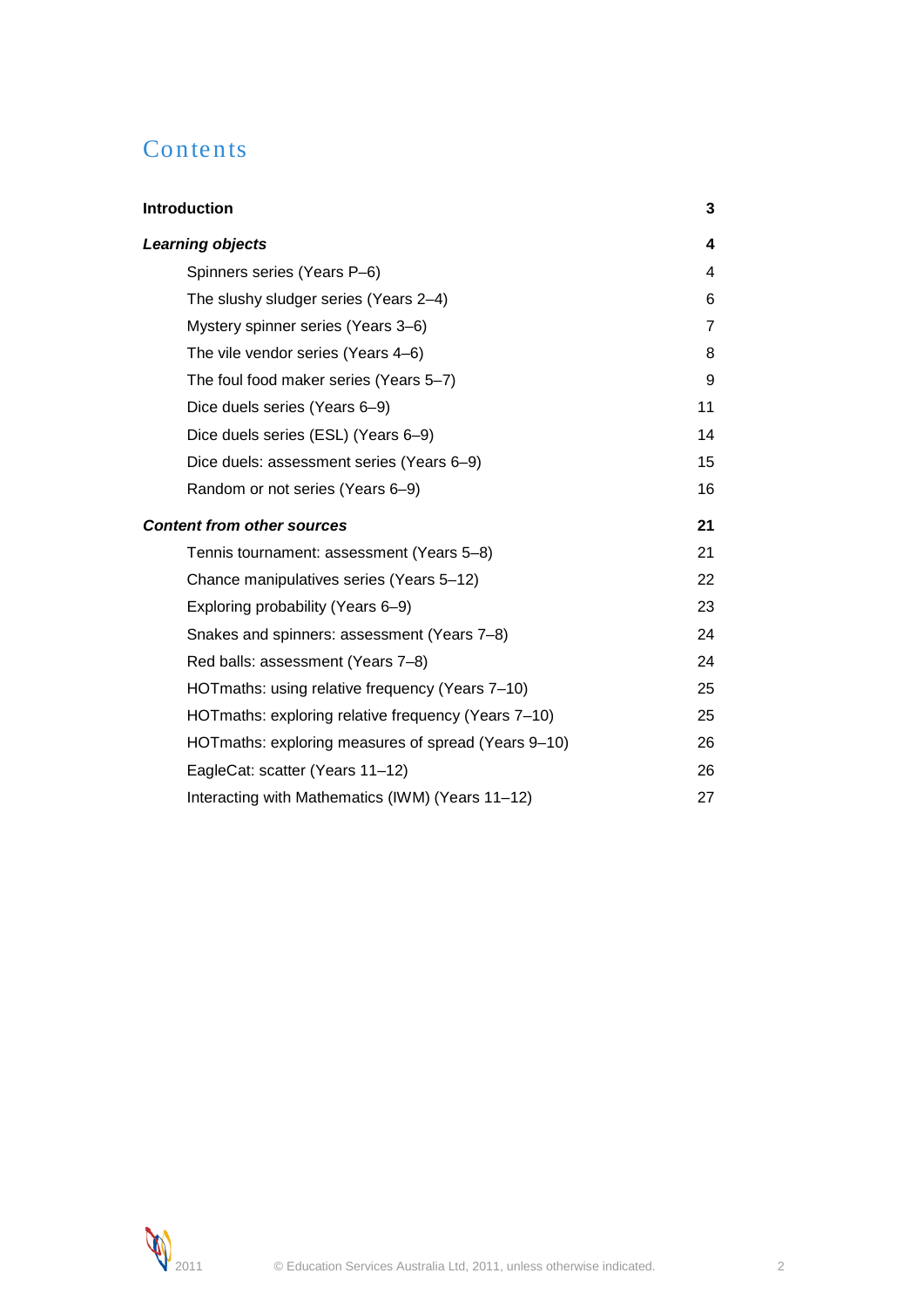# Contents

| <b>Introduction</b>                                 | 3              |
|-----------------------------------------------------|----------------|
| <b>Learning objects</b>                             | 4              |
| Spinners series (Years P-6)                         | 4              |
| The slushy sludger series (Years 2-4)               | 6              |
| Mystery spinner series (Years 3-6)                  | $\overline{7}$ |
| The vile vendor series (Years 4–6)                  | 8              |
| The foul food maker series (Years 5-7)              | 9              |
| Dice duels series (Years 6-9)                       | 11             |
| Dice duels series (ESL) (Years 6-9)                 | 14             |
| Dice duels: assessment series (Years 6-9)           | 15             |
| Random or not series (Years 6-9)                    | 16             |
| <b>Content from other sources</b>                   | 21             |
| Tennis tournament: assessment (Years 5-8)           | 21             |
| Chance manipulatives series (Years 5-12)            | 22             |
| Exploring probability (Years 6-9)                   | 23             |
| Snakes and spinners: assessment (Years 7-8)         | 24             |
| Red balls: assessment (Years 7-8)                   | 24             |
| HOTmaths: using relative frequency (Years 7-10)     | 25             |
| HOTmaths: exploring relative frequency (Years 7-10) | 25             |
| HOTmaths: exploring measures of spread (Years 9-10) | 26             |
| EagleCat: scatter (Years 11-12)                     | 26             |
| Interacting with Mathematics (IWM) (Years 11-12)    | 27             |

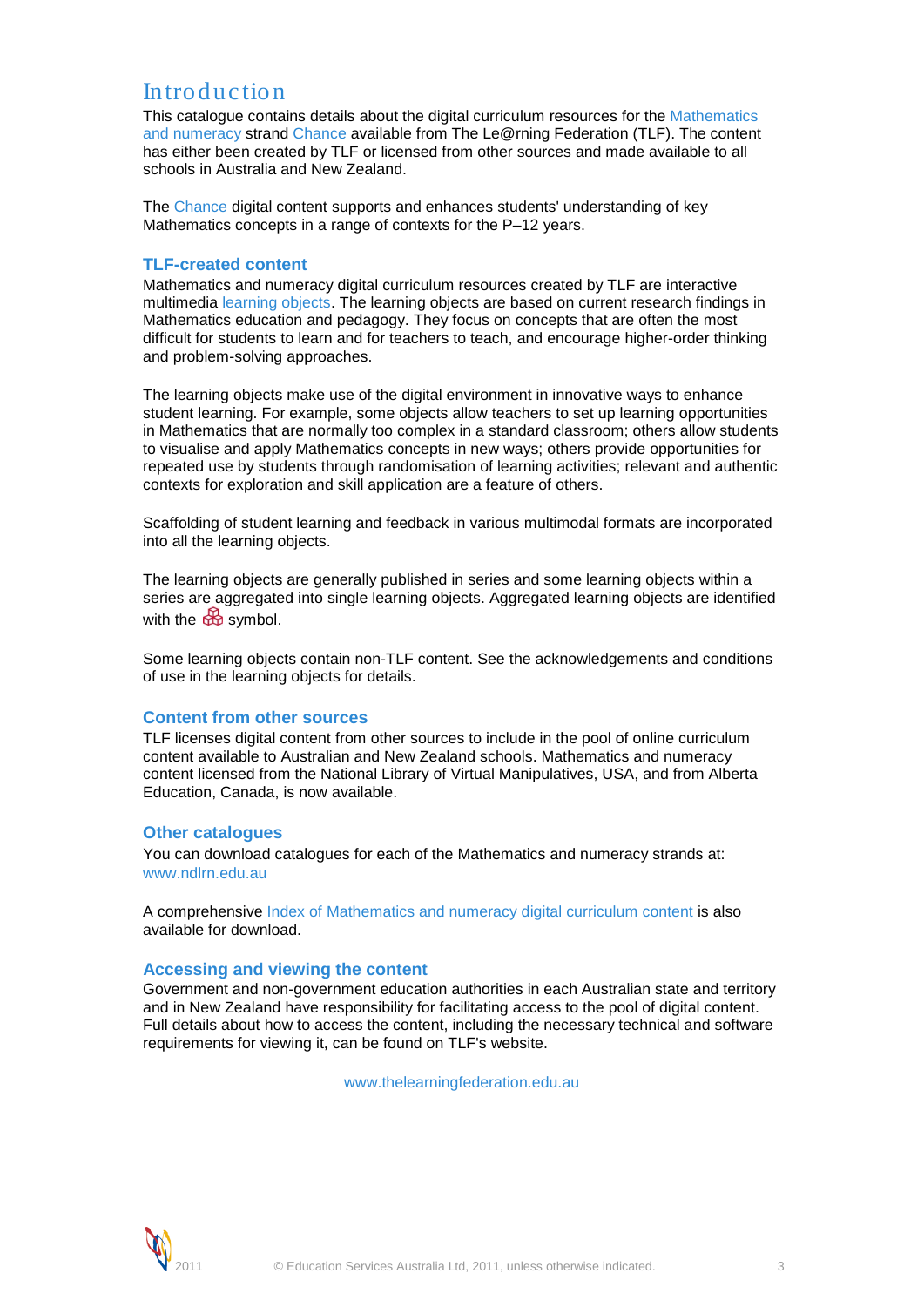# <span id="page-2-0"></span>Introduction

This catalogue contains details about the digital curriculum resources for the Mathematics and numeracy strand Chance available from The Le@rning Federation (TLF). The content has either been created by TLF or licensed from other sources and made available to all schools in Australia and New Zealand.

The Chance digital content supports and enhances students' understanding of key Mathematics concepts in a range of contexts for the P–12 years.

# **TLF-created content**

Mathematics and numeracy digital curriculum resources created by TLF are interactive multimedia learning objects. The learning objects are based on current research findings in Mathematics education and pedagogy. They focus on concepts that are often the most difficult for students to learn and for teachers to teach, and encourage higher-order thinking and problem-solving approaches.

The learning objects make use of the digital environment in innovative ways to enhance student learning. For example, some objects allow teachers to set up learning opportunities in Mathematics that are normally too complex in a standard classroom; others allow students to visualise and apply Mathematics concepts in new ways; others provide opportunities for repeated use by students through randomisation of learning activities; relevant and authentic contexts for exploration and skill application are a feature of others.

Scaffolding of student learning and feedback in various multimodal formats are incorporated into all the learning objects.

The learning objects are generally published in series and some learning objects within a series are aggregated into single learning objects. Aggregated learning objects are identified with the symbol.

Some learning objects contain non-TLF content. See the acknowledgements and conditions of use in the learning objects for details.

# **Content from other sources**

TLF licenses digital content from other sources to include in the pool of online curriculum content available to Australian and New Zealand schools. Mathematics and numeracy content licensed from the National Library of Virtual Manipulatives, USA, and from Alberta Education, Canada, is now available.

### **Other catalogues**

You can download catalogues for each of the Mathematics and numeracy strands at: www.ndlrn.edu.au

A comprehensive Index of Mathematics and numeracy digital curriculum content is also available for download.

### **Accessing and viewing the content**

Government and non-government education authorities in each Australian state and territory and in New Zealand have responsibility for facilitating access to the pool of digital content. Full details about how to access the content, including the necessary technical and software requirements for viewing it, can be found on TLF's website.

www.thelearningfederation.edu.au

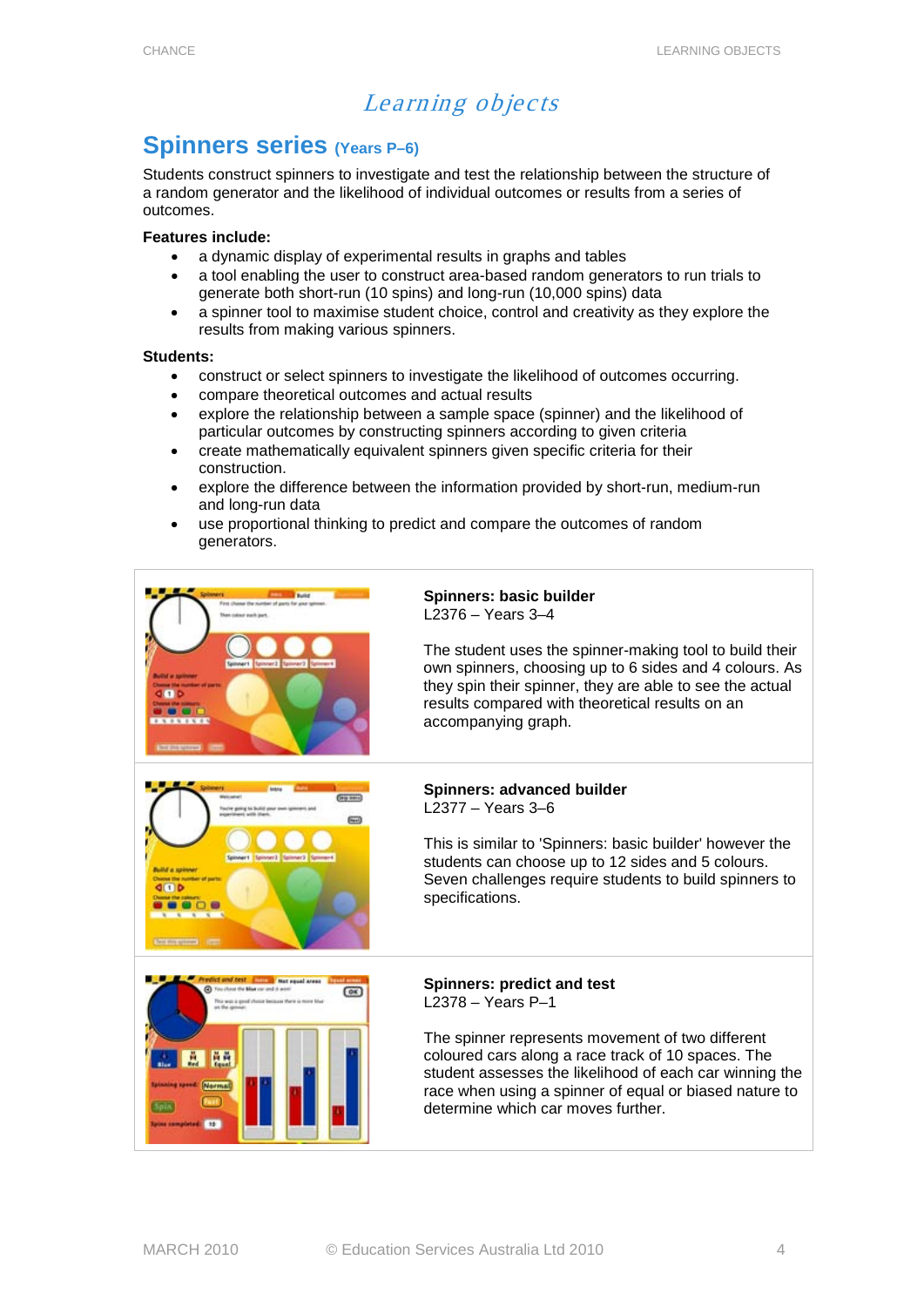# Learning objects

# <span id="page-3-1"></span><span id="page-3-0"></span>**Spinners series (Years P–6)**

Students construct spinners to investigate and test the relationship between the structure of a random generator and the likelihood of individual outcomes or results from a series of outcomes.

# **Features include:**

- a dynamic display of experimental results in graphs and tables
- a tool enabling the user to construct area-based random generators to run trials to generate both short-run (10 spins) and long-run (10,000 spins) data
- a spinner tool to maximise student choice, control and creativity as they explore the results from making various spinners.

### **Students:**

- construct or select spinners to investigate the likelihood of outcomes occurring.
- compare theoretical outcomes and actual results
- explore the relationship between a sample space (spinner) and the likelihood of particular outcomes by constructing spinners according to given criteria
- create mathematically equivalent spinners given specific criteria for their construction.
- explore the difference between the information provided by short-run, medium-run and long-run data
- use proportional thinking to predict and compare the outcomes of random generators.

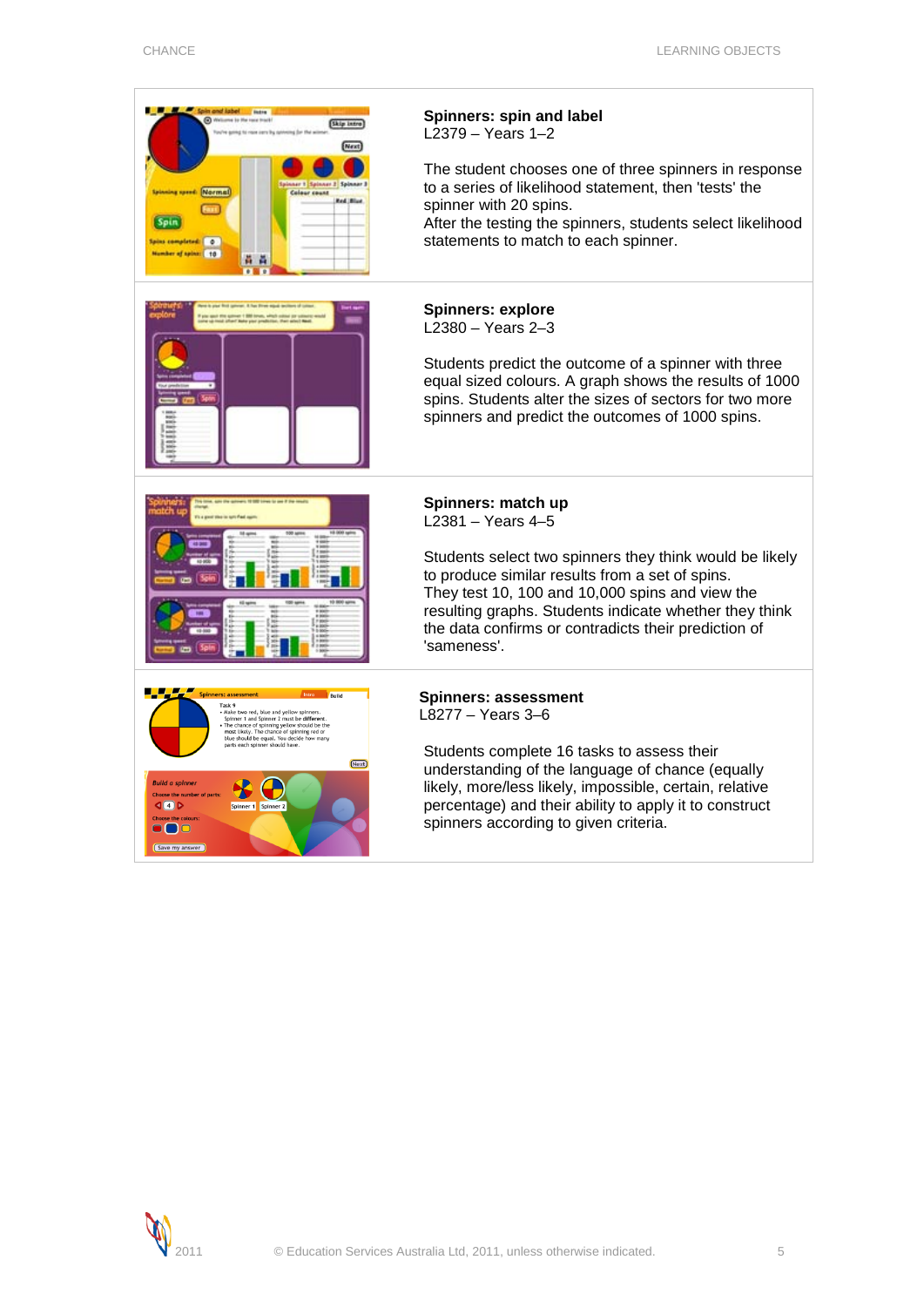$\overline{\phantom{0}}$ 

 $\overline{\phantom{a}}$ 

| <b>Sale and iabel</b> and intro<br>(b) Wellcome to the tone track!<br>Skip into<br>[Next<br>are 1 Spinner 3 Spinner 1<br><b>Normal</b><br><b>Colour count</b><br><b>Red Blue</b><br>Spin<br><b>Spins completed:</b> 0<br>Number of spins: 10<br>黄黄                                                                                                                                                                                                                | Spinners: spin and label<br>$L2379 - Years 1-2$<br>The student chooses one of three spinners in response<br>to a series of likelihood statement, then 'tests' the<br>spinner with 20 spins.<br>After the testing the spinners, students select likelihood<br>statements to match to each spinner.                                           |
|-------------------------------------------------------------------------------------------------------------------------------------------------------------------------------------------------------------------------------------------------------------------------------------------------------------------------------------------------------------------------------------------------------------------------------------------------------------------|---------------------------------------------------------------------------------------------------------------------------------------------------------------------------------------------------------------------------------------------------------------------------------------------------------------------------------------------|
|                                                                                                                                                                                                                                                                                                                                                                                                                                                                   | <b>Spinners: explore</b><br>$L2380 - Years 2-3$<br>Students predict the outcome of a spinner with three<br>equal sized colours. A graph shows the results of 1000<br>spins. Students alter the sizes of sectors for two more<br>spinners and predict the outcomes of 1000 spins.                                                            |
|                                                                                                                                                                                                                                                                                                                                                                                                                                                                   | Spinners: match up<br>$L2381 - Years 4-5$<br>Students select two spinners they think would be likely<br>to produce similar results from a set of spins.<br>They test 10, 100 and 10,000 spins and view the<br>resulting graphs. Students indicate whether they think<br>the data confirms or contradicts their prediction of<br>'sameness'. |
| pinners: assessment<br>Task <sub>9</sub><br>Make two red, blue and vellow spinners.<br>Spinner 1 and Spinner 2 must be different<br>The chance of spinning yellow should be the<br>nost likely. The chance of spinning red or<br>blue should be equal. You decide how many<br>parts each spinner should have.<br>(Next)<br><b>Build a spinner</b><br>Choose the number of parts:<br>Q(4)<br>Spinner <sub>2</sub><br>Spinner 1<br><b>DI 10</b><br>[Save my answer] | <b>Spinners: assessment</b><br>$L8277 - Years 3-6$<br>Students complete 16 tasks to assess their<br>understanding of the language of chance (equally<br>likely, more/less likely, impossible, certain, relative<br>percentage) and their ability to apply it to construct<br>spinners according to given criteria.                          |

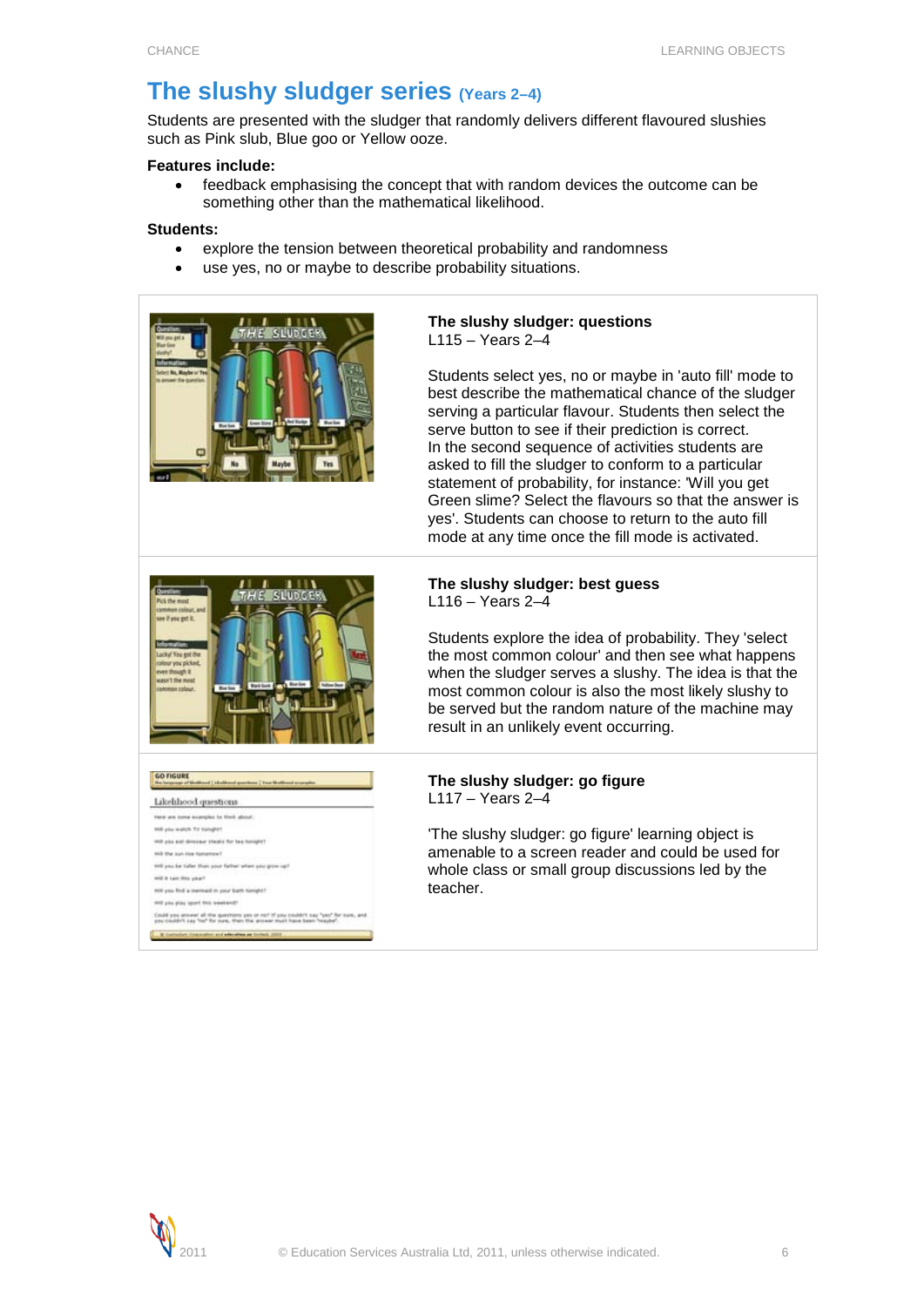# <span id="page-5-0"></span>**The slushy sludger series (Years 2–4)**

Students are presented with the sludger that randomly delivers different flavoured slushies such as Pink slub, Blue goo or Yellow ooze.

## **Features include:**

• feedback emphasising the concept that with random devices the outcome can be something other than the mathematical likelihood.

# **Students:**

- explore the tension between theoretical probability and randomness
- use yes, no or maybe to describe probability situations.





Could you arrange all the questions you or not if you couldn't say "yes" for ours, and<br>you couldn't say "no" for yune, then the answer must have been "maybe".

GO FIGURE<br>And homework (Manifestation of guarantee ) was North

will you find a rearmaid in your bath tunight? test you play seart this we

Likelihood questions tions are inner assembles to think about will you wants for tomplet All you aut director steals for tex tonight? will you be take than your father when you go

will it can this year?

#### **The slushy sludger: questions** L115 – Years 2–4

Students select yes, no or maybe in 'auto fill' mode to best describe the mathematical chance of the sludger serving a particular flavour. Students then select the serve button to see if their prediction is correct. In the second sequence of activities students are asked to fill the sludger to conform to a particular statement of probability, for instance: 'Will you get Green slime? Select the flavours so that the answer is yes'. Students can choose to return to the auto fill mode at any time once the fill mode is activated.

# **The slushy sludger: best guess** L116 – Years 2–4

Students explore the idea of probability. They 'select the most common colour' and then see what happens when the sludger serves a slushy. The idea is that the most common colour is also the most likely slushy to be served but the random nature of the machine may result in an unlikely event occurring.

# **The slushy sludger: go figure** L117 – Years 2–4

'The slushy sludger: go figure' learning object is amenable to a screen reader and could be used for whole class or small group discussions led by the teacher.

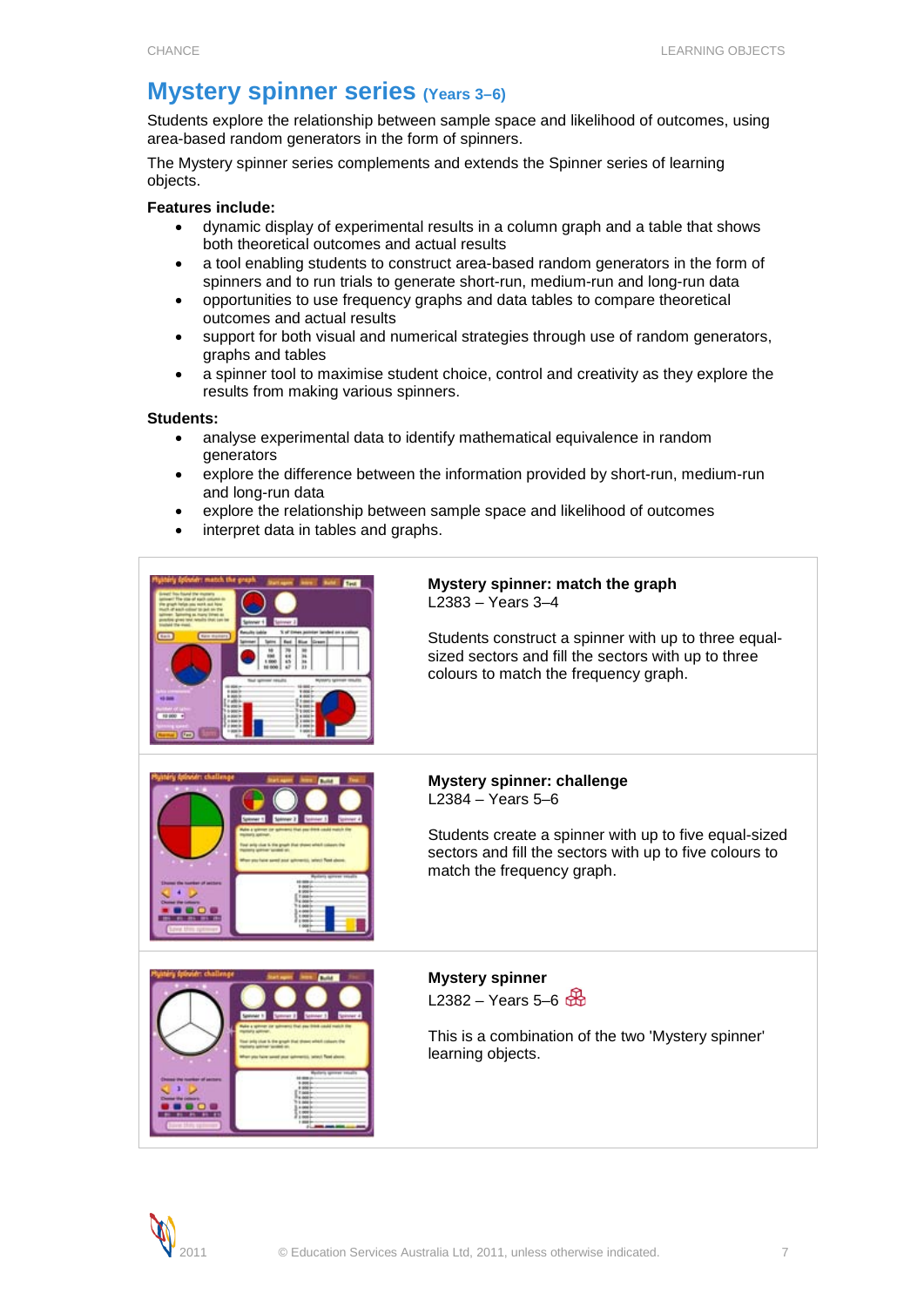# <span id="page-6-0"></span>**Mystery spinner series (Years 3-6)**

Students explore the relationship between sample space and likelihood of outcomes, using area-based random generators in the form of spinners.

The Mystery spinner series complements and extends the Spinner series of learning objects.

# **Features include:**

- dynamic display of experimental results in a column graph and a table that shows both theoretical outcomes and actual results
- a tool enabling students to construct area-based random generators in the form of spinners and to run trials to generate short-run, medium-run and long-run data
- opportunities to use frequency graphs and data tables to compare theoretical outcomes and actual results
- support for both visual and numerical strategies through use of random generators, graphs and tables
- a spinner tool to maximise student choice, control and creativity as they explore the results from making various spinners.

### **Students:**

- analyse experimental data to identify mathematical equivalence in random generators
- explore the difference between the information provided by short-run, medium-run and long-run data
- explore the relationship between sample space and likelihood of outcomes
- interpret data in tables and graphs.



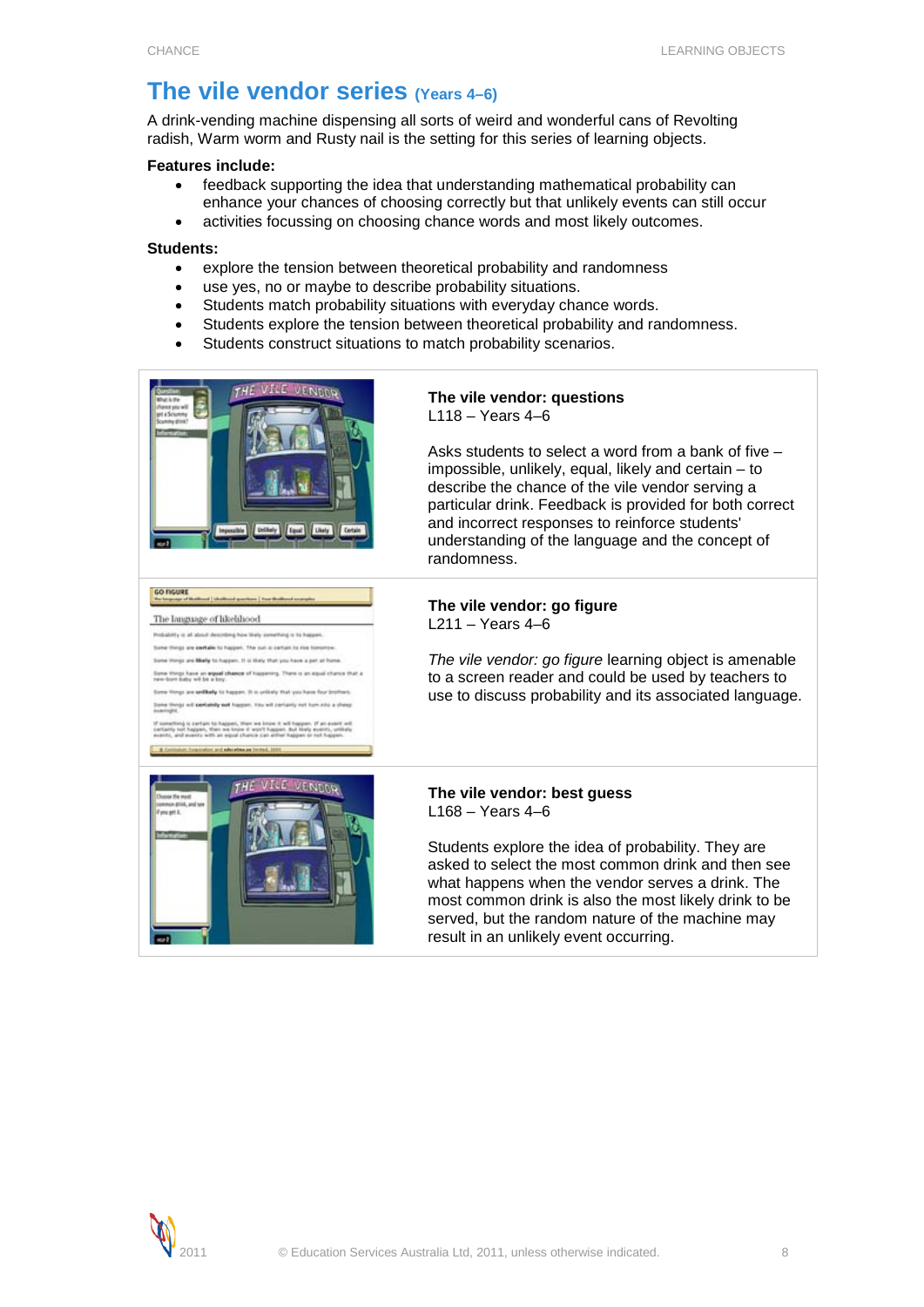# <span id="page-7-0"></span>**The vile vendor series (Years 4–6)**

A drink-vending machine dispensing all sorts of weird and wonderful cans of Revolting radish, Warm worm and Rusty nail is the setting for this series of learning objects.

# **Features include:**

- feedback supporting the idea that understanding mathematical probability can enhance your chances of choosing correctly but that unlikely events can still occur
- activities focussing on choosing chance words and most likely outcomes.

### **Students:**

- explore the tension between theoretical probability and randomness
- use yes, no or maybe to describe probability situations.
- Students match probability situations with everyday chance words.
- Students explore the tension between theoretical probability and randomness.
- Students construct situations to match probability scenarios.



GO FIGURE<br>The Improve of Musliman | studient gambies | from the The language of hisebhood Probability to all about describing how likely converting to to be by these are particle to harden. The sub is better to due to more and Missile to European. If in their that you have a part of from Some things have an expand chance of happening. There is an equal chance that a<br>new-born baby will be a boy. are well ally to happen. It is orifinity that you will partialishy part happen. You will containly not ham with a ch

#### **The vile vendor: questions** L118 – Years 4–6

Asks students to select a word from a bank of five – impossible, unlikely, equal, likely and certain – to describe the chance of the vile vendor serving a particular drink. Feedback is provided for both correct and incorrect responses to reinforce students' understanding of the language and the concept of randomness.

# **The vile vendor: go figure** L211 – Years 4–6

*The vile vendor: go figure* learning object is amenable to a screen reader and could be used by teachers to use to discuss probability and its associated language.



### **The vile vendor: best guess** L168 – Years 4–6

Students explore the idea of probability. They are asked to select the most common drink and then see what happens when the vendor serves a drink. The most common drink is also the most likely drink to be served, but the random nature of the machine may result in an unlikely event occurring.

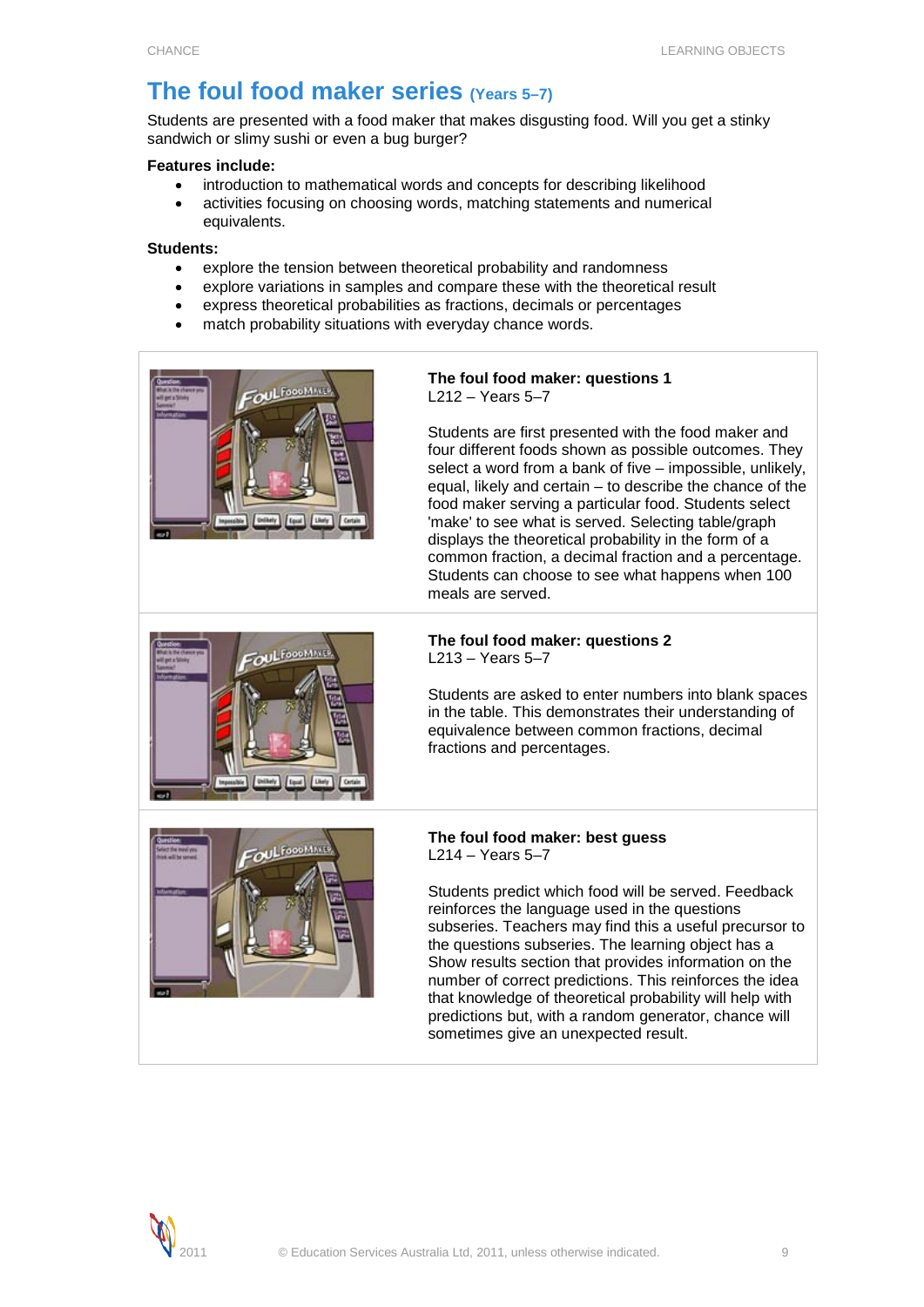# <span id="page-8-0"></span>**The foul food maker series (Years 5–7)**

Students are presented with a food maker that makes disgusting food. Will you get a stinky sandwich or slimy sushi or even a bug burger?

# **Features include:**

- introduction to mathematical words and concepts for describing likelihood
- activities focusing on choosing words, matching statements and numerical equivalents.

# **Students:**

- explore the tension between theoretical probability and randomness
- explore variations in samples and compare these with the theoretical result
- express theoretical probabilities as fractions, decimals or percentages
- match probability situations with everyday chance words.



# **The foul food maker: questions 1** L212 – Years 5–7

Students are first presented with the food maker and four different foods shown as possible outcomes. They select a word from a bank of five – impossible, unlikely, equal, likely and certain – to describe the chance of the food maker serving a particular food. Students select 'make' to see what is served. Selecting table/graph displays the theoretical probability in the form of a common fraction, a decimal fraction and a percentage. Students can choose to see what happens when 100 meals are served.



# **The foul food maker: questions 2** L213 – Years 5–7

Students are asked to enter numbers into blank spaces in the table. This demonstrates their understanding of equivalence between common fractions, decimal fractions and percentages.



# **The foul food maker: best guess** L214 – Years 5–7

Students predict which food will be served. Feedback reinforces the language used in the questions subseries. Teachers may find this a useful precursor to the questions subseries. The learning object has a Show results section that provides information on the number of correct predictions. This reinforces the idea that knowledge of theoretical probability will help with predictions but, with a random generator, chance will sometimes give an unexpected result.

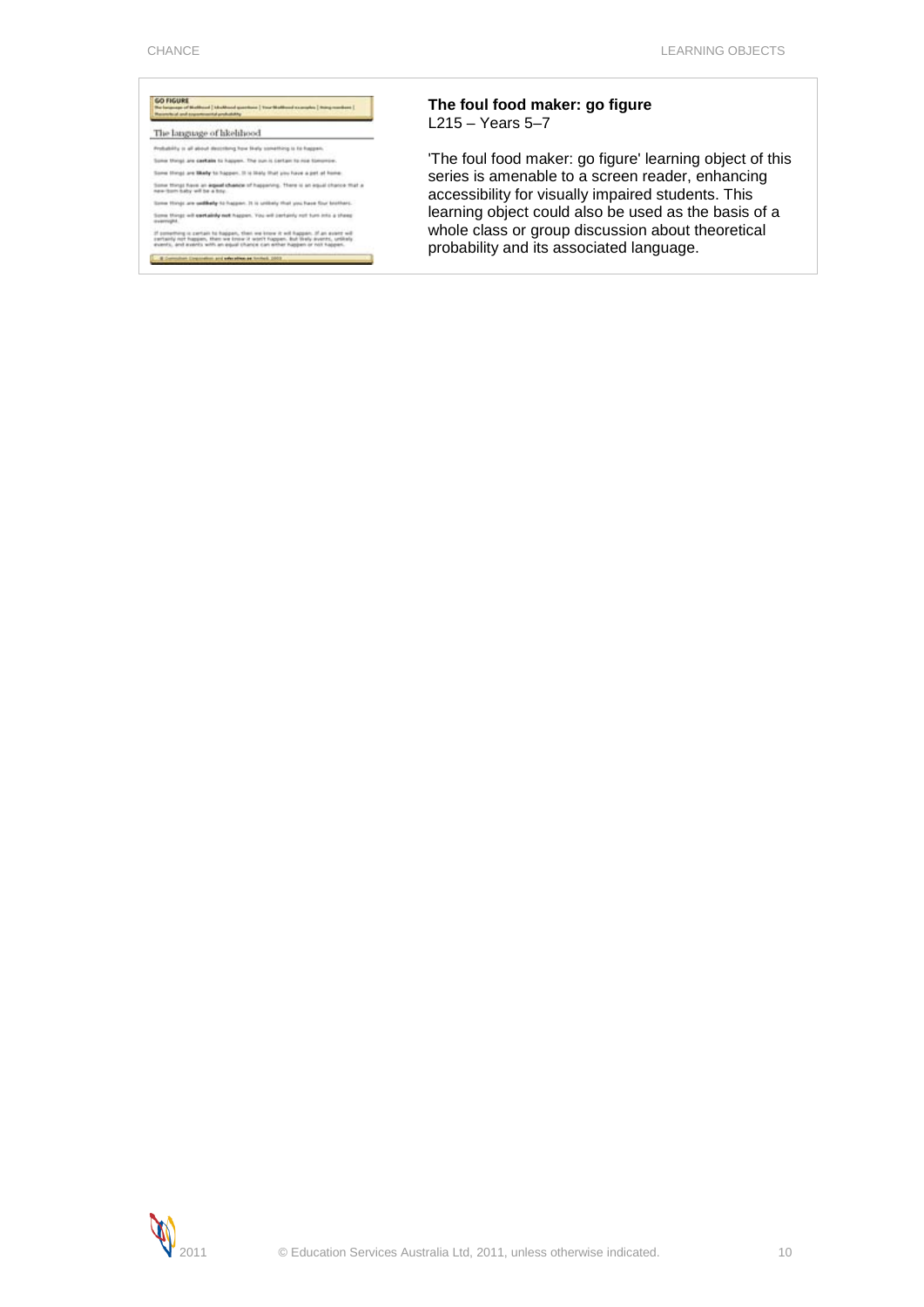

If converting is certain to happen, then we know it will happen. If an event will<br>certainly int happen, then we crow it worth happen. But thely events, until all<br>events, and events with an equal chance can enter happen or 

# **The foul food maker: go figure** L215 – Years 5–7

'The foul food maker: go figure' learning object of this series is amenable to a screen reader, enhancing accessibility for visually impaired students. This learning object could also be used as the basis of a whole class or group discussion about theoretical probability and its associated language.

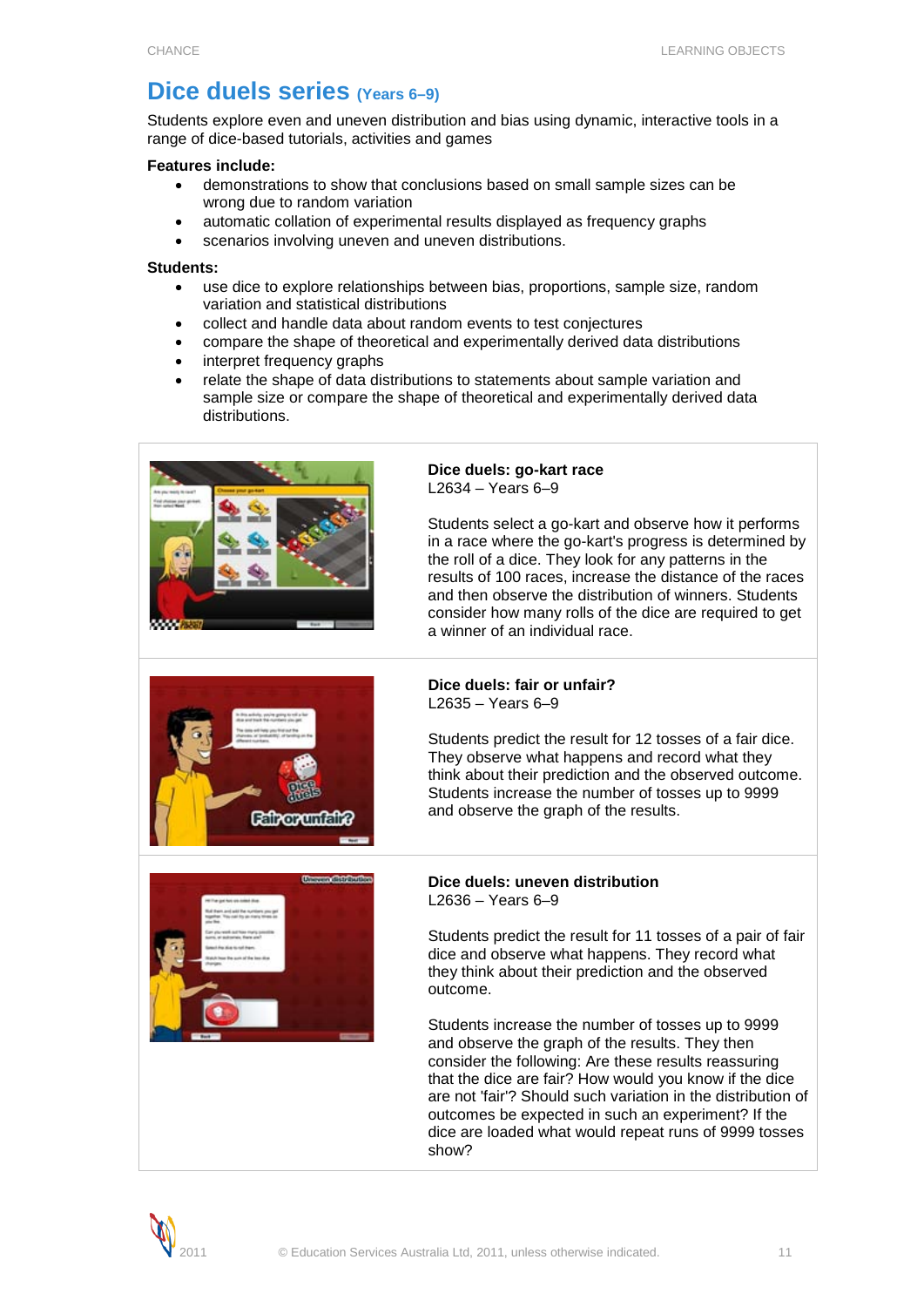# <span id="page-10-0"></span>**Dice duels series (Years 6–9)**

Students explore even and uneven distribution and bias using dynamic, interactive tools in a range of dice-based tutorials, activities and games

### **Features include:**

- demonstrations to show that conclusions based on small sample sizes can be wrong due to random variation
- automatic collation of experimental results displayed as frequency graphs
- scenarios involving uneven and uneven distributions.

# **Students:**

- use dice to explore relationships between bias, proportions, sample size, random variation and statistical distributions
- collect and handle data about random events to test conjectures
- compare the shape of theoretical and experimentally derived data distributions
- interpret frequency graphs
- relate the shape of data distributions to statements about sample variation and sample size or compare the shape of theoretical and experimentally derived data distributions.



#### **Dice duels: go-kart race** L2634 – Years 6–9

Students select a go-kart and observe how it performs in a race where the go-kart's progress is determined by the roll of a dice. They look for any patterns in the results of 100 races, increase the distance of the races and then observe the distribution of winners. Students consider how many rolls of the dice are required to get a winner of an individual race.



#### **Dice duels: fair or unfair?** L2635 – Years 6–9

Students predict the result for 12 tosses of a fair dice. They observe what happens and record what they think about their prediction and the observed outcome. Students increase the number of tosses up to 9999 and observe the graph of the results.



### **Dice duels: uneven distribution** L2636 – Years 6–9

Students predict the result for 11 tosses of a pair of fair dice and observe what happens. They record what they think about their prediction and the observed outcome.

Students increase the number of tosses up to 9999 and observe the graph of the results. They then consider the following: Are these results reassuring that the dice are fair? How would you know if the dice are not 'fair'? Should such variation in the distribution of outcomes be expected in such an experiment? If the dice are loaded what would repeat runs of 9999 tosses show?

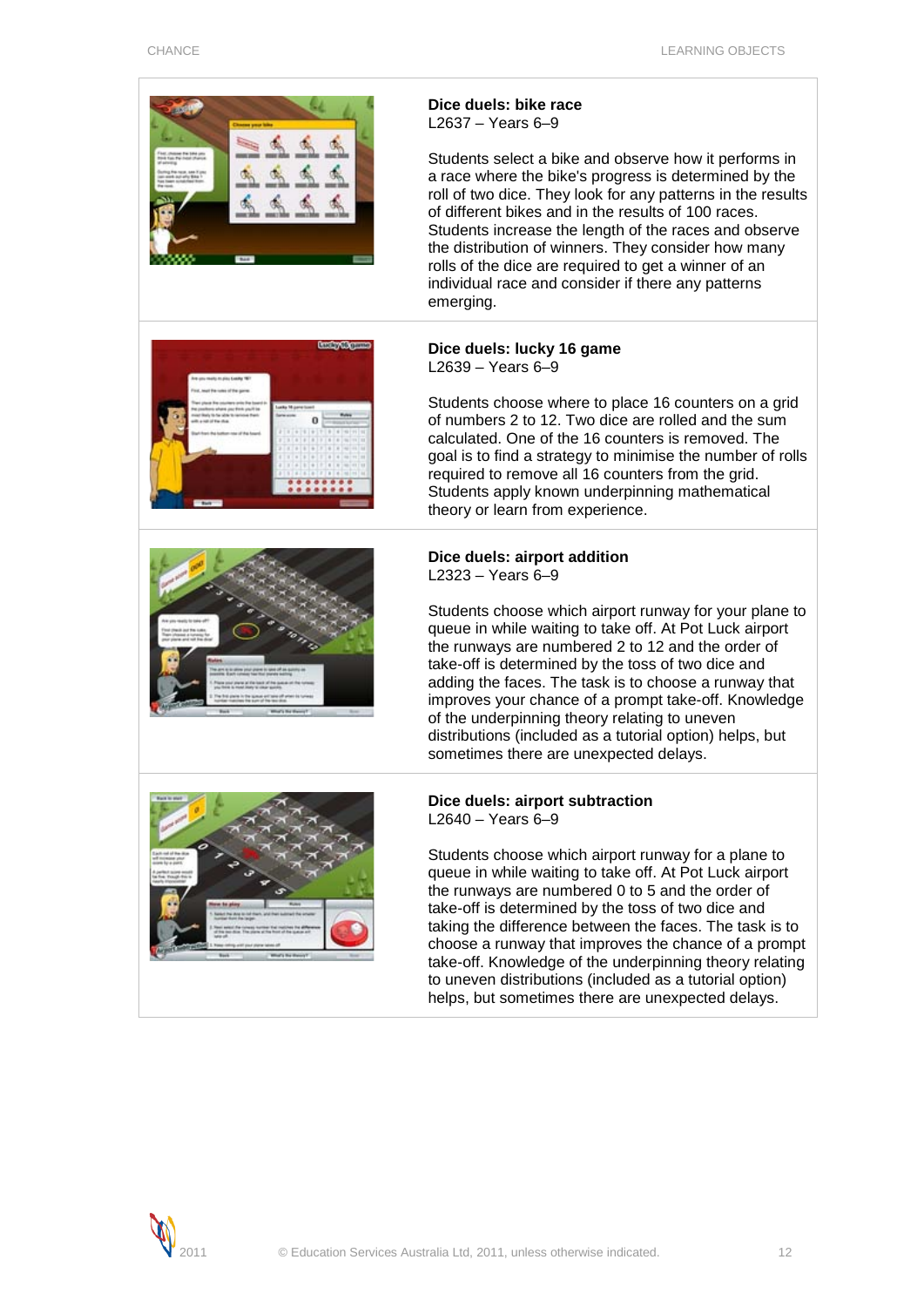

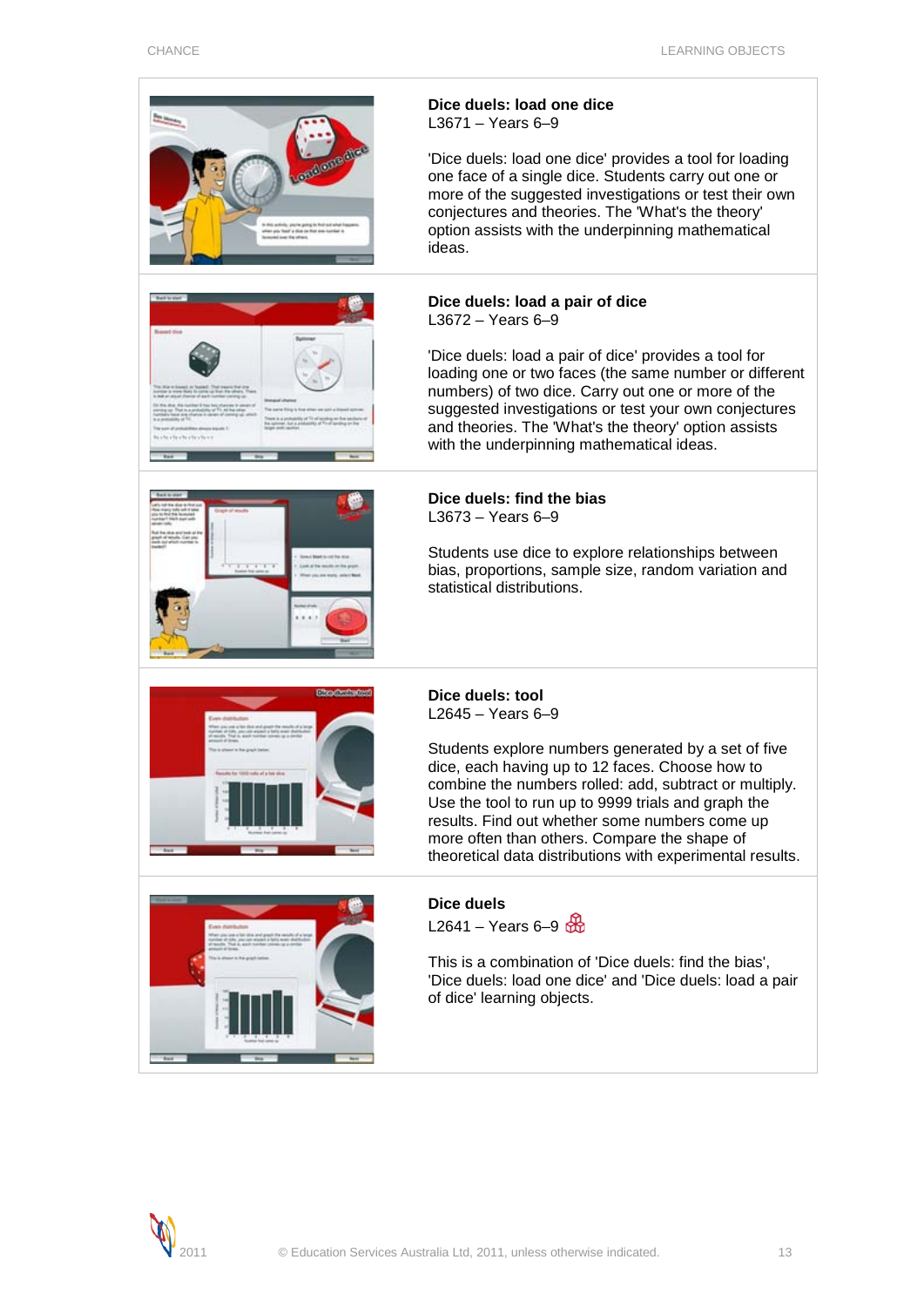| <b>ondone die</b><br>prior fixed a date on that sink-hunt | Dice duels: load one dice<br>$L3671 - Years 6-9$<br>'Dice duels: load one dice' provides a tool for loading<br>one face of a single dice. Students carry out one or<br>more of the suggested investigations or test their own<br>conjectures and theories. The 'What's the theory'<br>option assists with the underpinning mathematical<br>ideas.                                                                                 |
|-----------------------------------------------------------|-----------------------------------------------------------------------------------------------------------------------------------------------------------------------------------------------------------------------------------------------------------------------------------------------------------------------------------------------------------------------------------------------------------------------------------|
| <b>based</b> dies                                         | Dice duels: load a pair of dice<br>$L3672 - Years 6-9$<br>'Dice duels: load a pair of dice' provides a tool for<br>loading one or two faces (the same number or different<br>numbers) of two dice. Carry out one or more of the<br>suggested investigations or test your own conjectures<br>and theories. The 'What's the theory' option assists<br>with the underpinning mathematical ideas.                                     |
|                                                           | Dice duels: find the bias<br>$L3673 - Years 6-9$<br>Students use dice to explore relationships between<br>bias, proportions, sample size, random variation and<br>statistical distributions.                                                                                                                                                                                                                                      |
| for 1000 mile of a big six                                | Dice duels: tool<br>$L2645 - Years 6-9$<br>Students explore numbers generated by a set of five<br>dice, each having up to 12 faces. Choose how to<br>combine the numbers rolled: add, subtract or multiply.<br>Use the tool to run up to 9999 trials and graph the<br>results. Find out whether some numbers come up<br>more often than others. Compare the shape of<br>theoretical data distributions with experimental results. |
|                                                           | <b>Dice duels</b><br>L2641 – Years 6–9<br>This is a combination of 'Dice duels: find the bias',<br>'Dice duels: load one dice' and 'Dice duels: load a pair<br>of dice' learning objects.                                                                                                                                                                                                                                         |

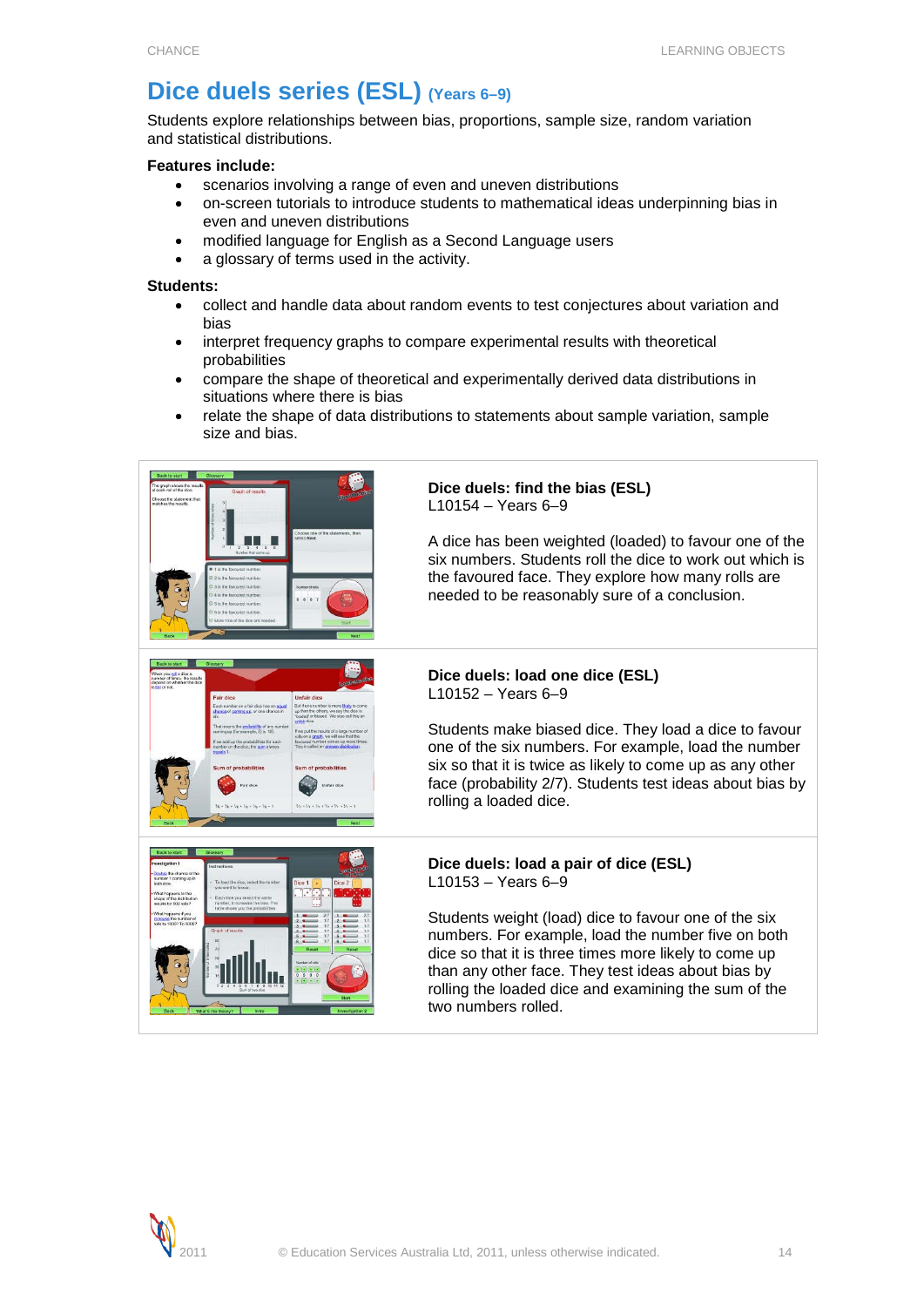# <span id="page-13-0"></span>**Dice duels series (ESL) (Years 6–9)**

Students explore relationships between bias, proportions, sample size, random variation and statistical distributions.

# **Features include:**

- scenarios involving a range of even and uneven distributions
- on-screen tutorials to introduce students to mathematical ideas underpinning bias in even and uneven distributions
- modified language for English as a Second Language users
- a glossary of terms used in the activity.

# **Students:**

- collect and handle data about random events to test conjectures about variation and bias
- interpret frequency graphs to compare experimental results with theoretical probabilities
- compare the shape of theoretical and experimentally derived data distributions in situations where there is bias
- relate the shape of data distributions to statements about sample variation, sample size and bias.



# **Dice duels: find the bias (ESL)** L10154 – Years 6–9

A dice has been weighted (loaded) to favour one of the six numbers. Students roll the dice to work out which is the favoured face. They explore how many rolls are needed to be reasonably sure of a conclusion.

# **Dice duels: load one dice (ESL)** L10152 – Years 6–9

Students make biased dice. They load a dice to favour one of the six numbers. For example, load the number six so that it is twice as likely to come up as any other face (probability 2/7). Students test ideas about bias by rolling a loaded dice.



#### **Dice duels: load a pair of dice (ESL)**  $L$ 10153 – Years 6–9

Students weight (load) dice to favour one of the six numbers. For example, load the number five on both dice so that it is three times more likely to come up than any other face. They test ideas about bias by rolling the loaded dice and examining the sum of the two numbers rolled.

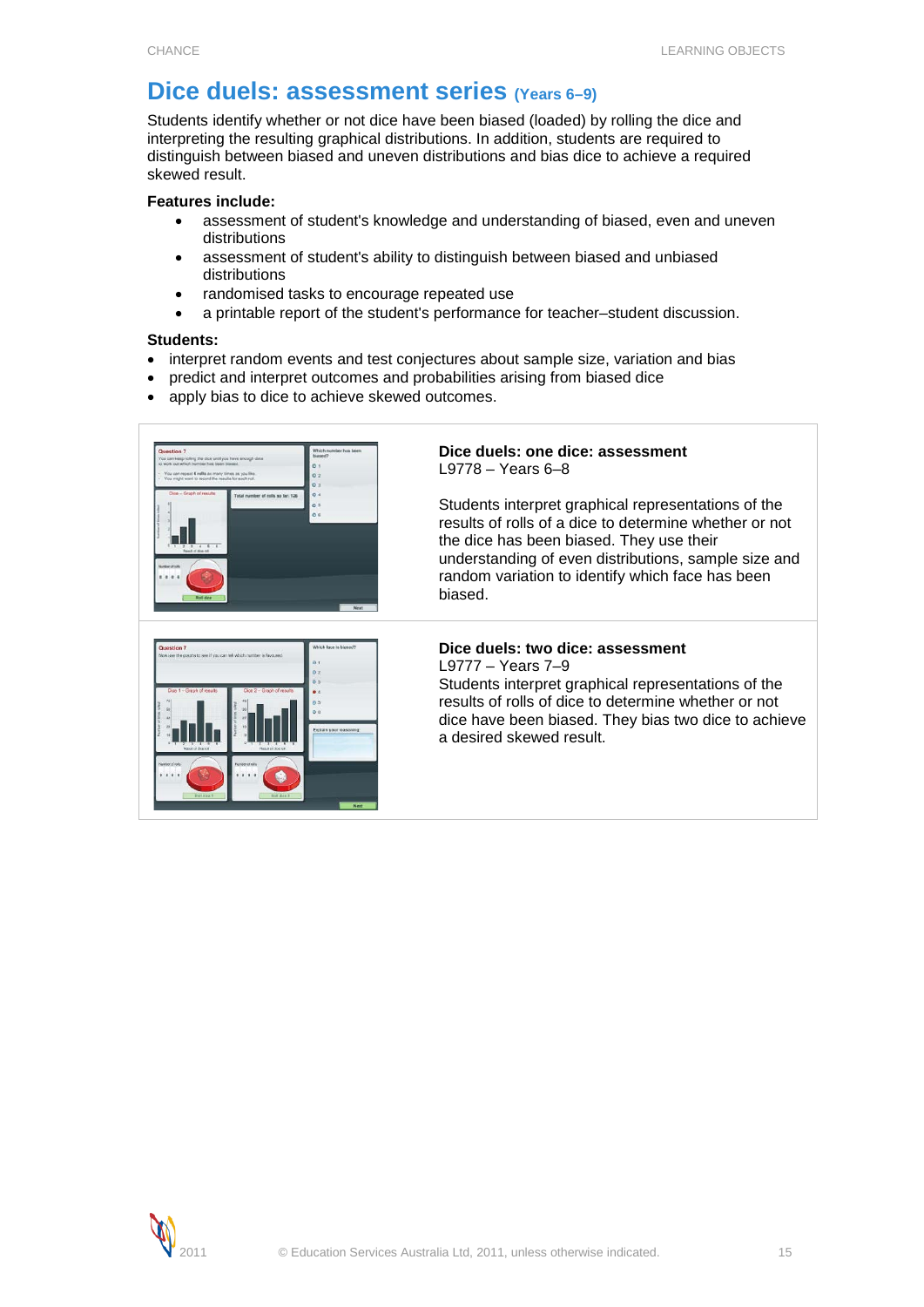# <span id="page-14-0"></span>**Dice duels: assessment series (Years 6–9)**

Students identify whether or not dice have been biased (loaded) by rolling the dice and interpreting the resulting graphical distributions. In addition, students are required to distinguish between biased and uneven distributions and bias dice to achieve a required skewed result.

# **Features include:**

- assessment of student's knowledge and understanding of biased, even and uneven distributions
- assessment of student's ability to distinguish between biased and unbiased distributions
- randomised tasks to encourage repeated use
- a printable report of the student's performance for teacher–student discussion.

# **Students:**

- interpret random events and test conjectures about sample size, variation and bias
- predict and interpret outcomes and probabilities arising from biased dice
- apply bias to dice to achieve skewed outcomes.



# **Dice duels: one dice: assessment** L9778 – Years 6–8

Students interpret graphical representations of the results of rolls of a dice to determine whether or not the dice has been biased. They use their understanding of even distributions, sample size and random variation to identify which face has been biased.



# **Dice duels: two dice: assessment**

L9777 – Years 7–9

Students interpret graphical representations of the results of rolls of dice to determine whether or not dice have been biased. They bias two dice to achieve a desired skewed result.

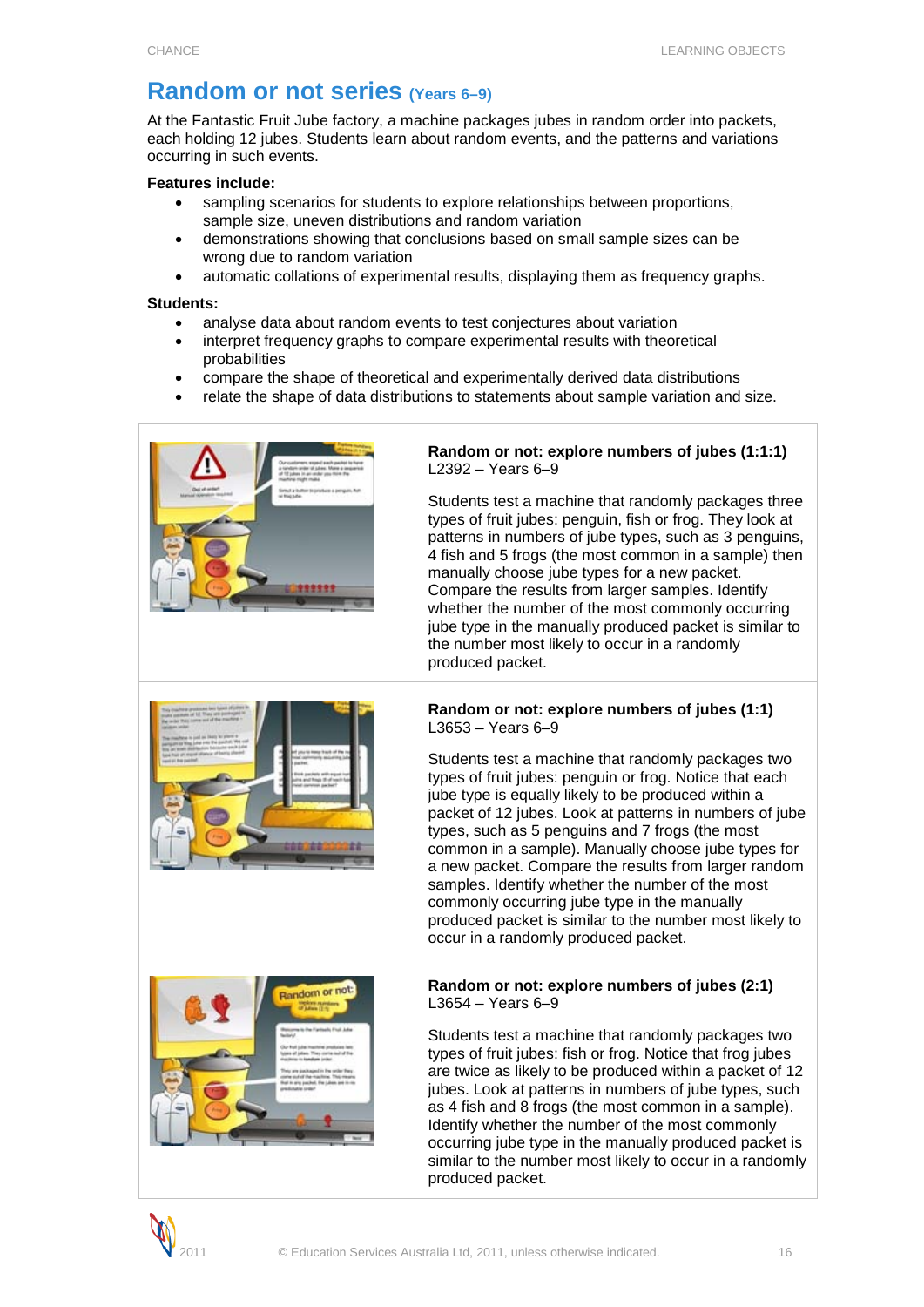# <span id="page-15-0"></span>**Random or not series (Years 6–9)**

At the Fantastic Fruit Jube factory, a machine packages jubes in random order into packets, each holding 12 jubes. Students learn about random events, and the patterns and variations occurring in such events.

# **Features include:**

- sampling scenarios for students to explore relationships between proportions, sample size, uneven distributions and random variation
- demonstrations showing that conclusions based on small sample sizes can be wrong due to random variation
- automatic collations of experimental results, displaying them as frequency graphs.

### **Students:**

- analyse data about random events to test conjectures about variation
- interpret frequency graphs to compare experimental results with theoretical probabilities
- compare the shape of theoretical and experimentally derived data distributions
- relate the shape of data distributions to statements about sample variation and size.



# **Random or not: explore numbers of jubes (1:1:1)** L2392 – Years 6–9

Students test a machine that randomly packages three types of fruit jubes: penguin, fish or frog. They look at patterns in numbers of jube types, such as 3 penguins, 4 fish and 5 frogs (the most common in a sample) then manually choose jube types for a new packet. Compare the results from larger samples. Identify whether the number of the most commonly occurring jube type in the manually produced packet is similar to the number most likely to occur in a randomly produced packet.



# **Random or not: explore numbers of jubes (1:1)** L3653 – Years 6–9

Students test a machine that randomly packages two types of fruit jubes: penguin or frog. Notice that each jube type is equally likely to be produced within a packet of 12 jubes. Look at patterns in numbers of jube types, such as 5 penguins and 7 frogs (the most common in a sample). Manually choose jube types for a new packet. Compare the results from larger random samples. Identify whether the number of the most commonly occurring jube type in the manually produced packet is similar to the number most likely to occur in a randomly produced packet.



### **Random or not: explore numbers of jubes (2:1)** L3654 – Years 6–9

Students test a machine that randomly packages two types of fruit jubes: fish or frog. Notice that frog jubes are twice as likely to be produced within a packet of 12 jubes. Look at patterns in numbers of jube types, such as 4 fish and 8 frogs (the most common in a sample). Identify whether the number of the most commonly occurring jube type in the manually produced packet is similar to the number most likely to occur in a randomly produced packet.

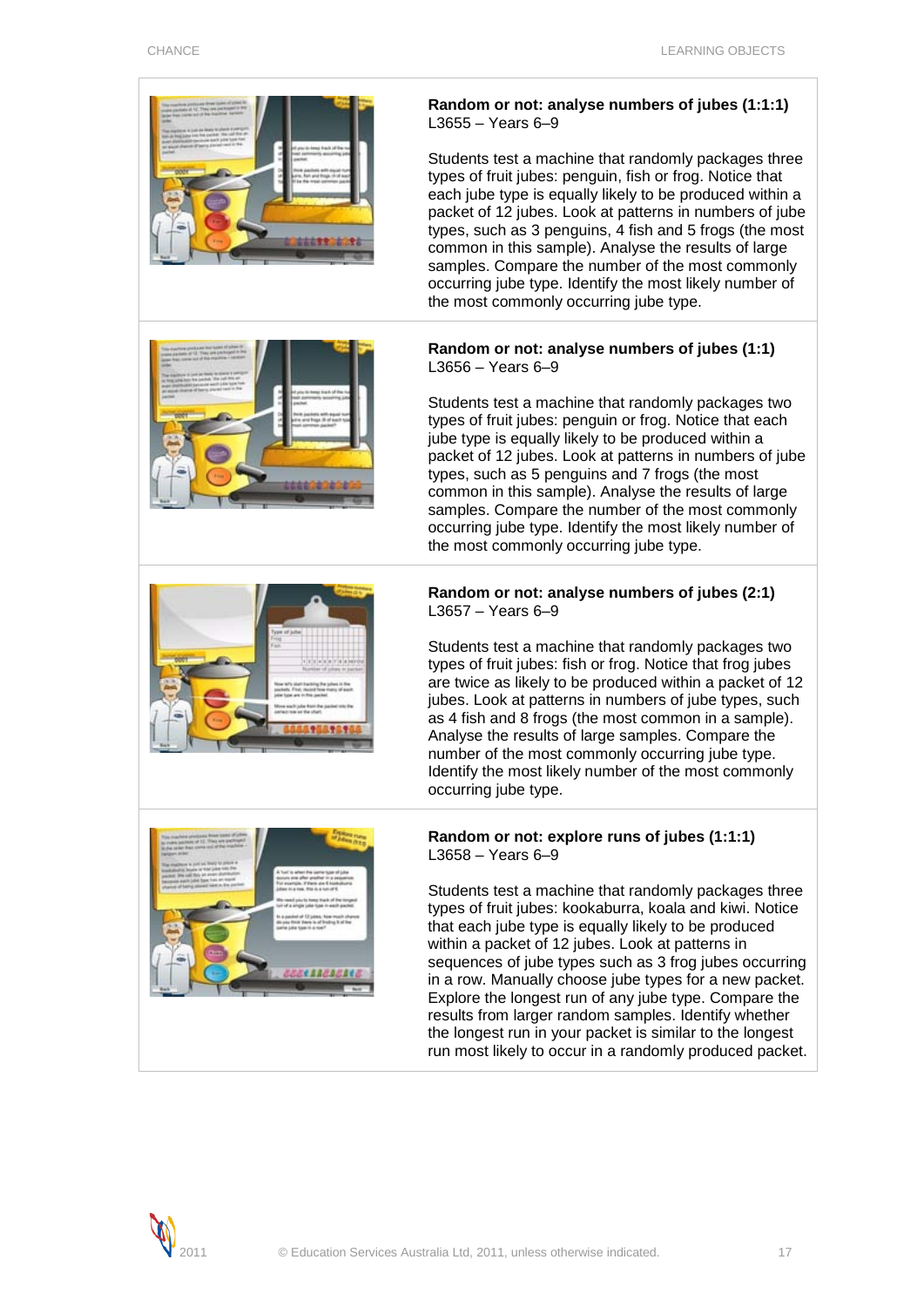

# **Random or not: analyse numbers of jubes (1:1:1)** L3655 – Years 6–9

Students test a machine that randomly packages three types of fruit jubes: penguin, fish or frog. Notice that each jube type is equally likely to be produced within a packet of 12 jubes. Look at patterns in numbers of jube types, such as 3 penguins, 4 fish and 5 frogs (the most common in this sample). Analyse the results of large samples. Compare the number of the most commonly occurring jube type. Identify the most likely number of the most commonly occurring jube type.

# **Random or not: analyse numbers of jubes (1:1)** L3656 – Years 6–9

Students test a machine that randomly packages two types of fruit jubes: penguin or frog. Notice that each jube type is equally likely to be produced within a packet of 12 jubes. Look at patterns in numbers of jube types, such as 5 penguins and 7 frogs (the most common in this sample). Analyse the results of large samples. Compare the number of the most commonly occurring jube type. Identify the most likely number of the most commonly occurring jube type.



# **Random or not: analyse numbers of jubes (2:1)** L3657 – Years 6–9

Students test a machine that randomly packages two types of fruit jubes: fish or frog. Notice that frog jubes are twice as likely to be produced within a packet of 12 jubes. Look at patterns in numbers of jube types, such as 4 fish and 8 frogs (the most common in a sample). Analyse the results of large samples. Compare the number of the most commonly occurring jube type. Identify the most likely number of the most commonly occurring jube type.



# **Random or not: explore runs of jubes (1:1:1)** L3658 – Years 6–9

Students test a machine that randomly packages three types of fruit jubes: kookaburra, koala and kiwi. Notice that each jube type is equally likely to be produced within a packet of 12 jubes. Look at patterns in sequences of jube types such as 3 frog jubes occurring in a row. Manually choose jube types for a new packet. Explore the longest run of any jube type. Compare the results from larger random samples. Identify whether the longest run in your packet is similar to the longest run most likely to occur in a randomly produced packet.

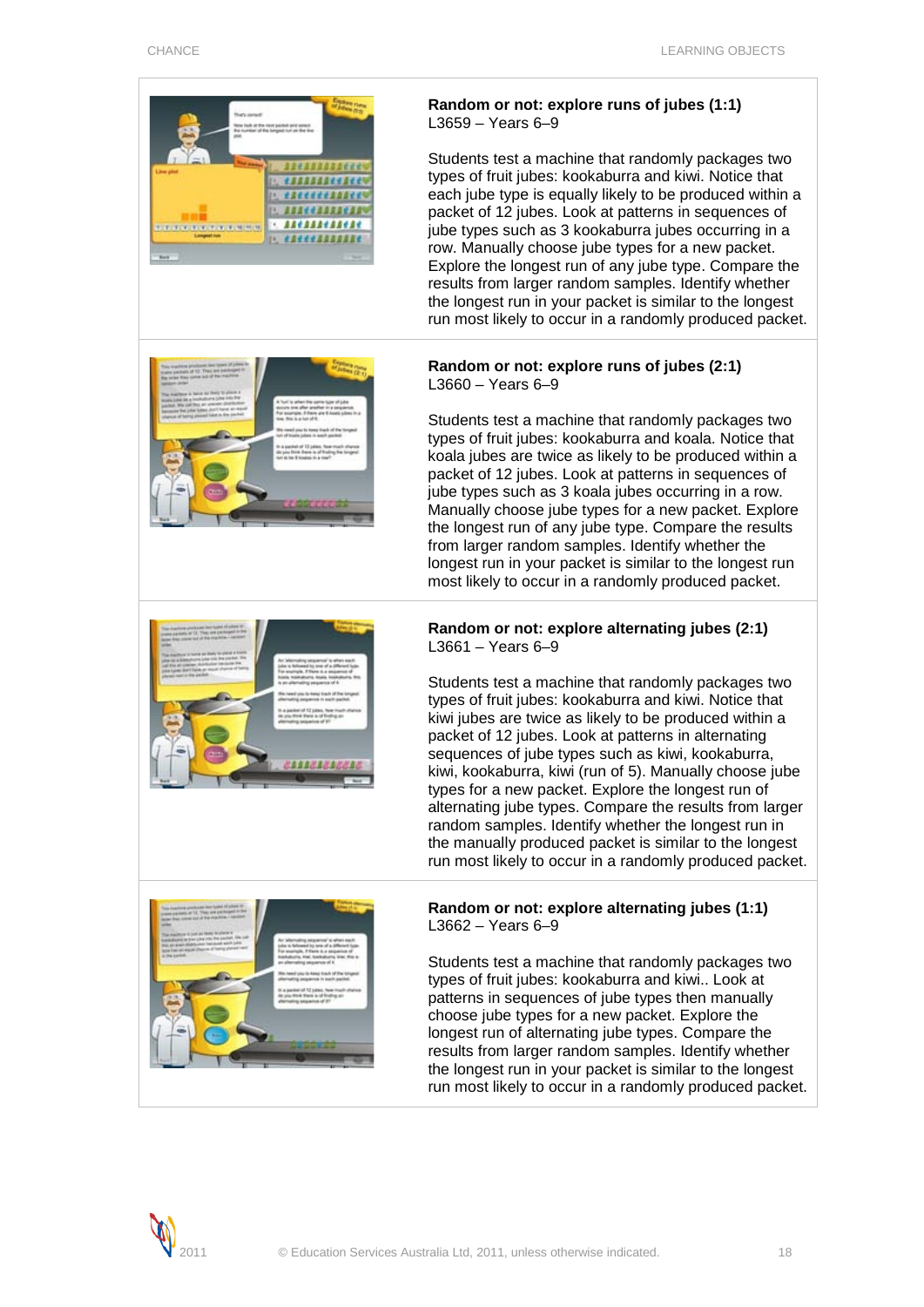

Students test a machine that randomly packages two types of fruit jubes: kookaburra and kiwi. Notice that kiwi jubes are twice as likely to be produced within a packet of 12 jubes. Look at patterns in alternating sequences of jube types such as kiwi, kookaburra, kiwi, kookaburra, kiwi (run of 5). Manually choose jube types for a new packet. Explore the longest run of alternating jube types. Compare the results from larger random samples. Identify whether the longest run in the manually produced packet is similar to the longest run most likely to occur in a randomly produced packet.



# **Random or not: explore alternating jubes (1:1)** L3662 – Years 6–9

Students test a machine that randomly packages two types of fruit jubes: kookaburra and kiwi.. Look at patterns in sequences of jube types then manually choose jube types for a new packet. Explore the longest run of alternating jube types. Compare the results from larger random samples. Identify whether the longest run in your packet is similar to the longest run most likely to occur in a randomly produced packet.

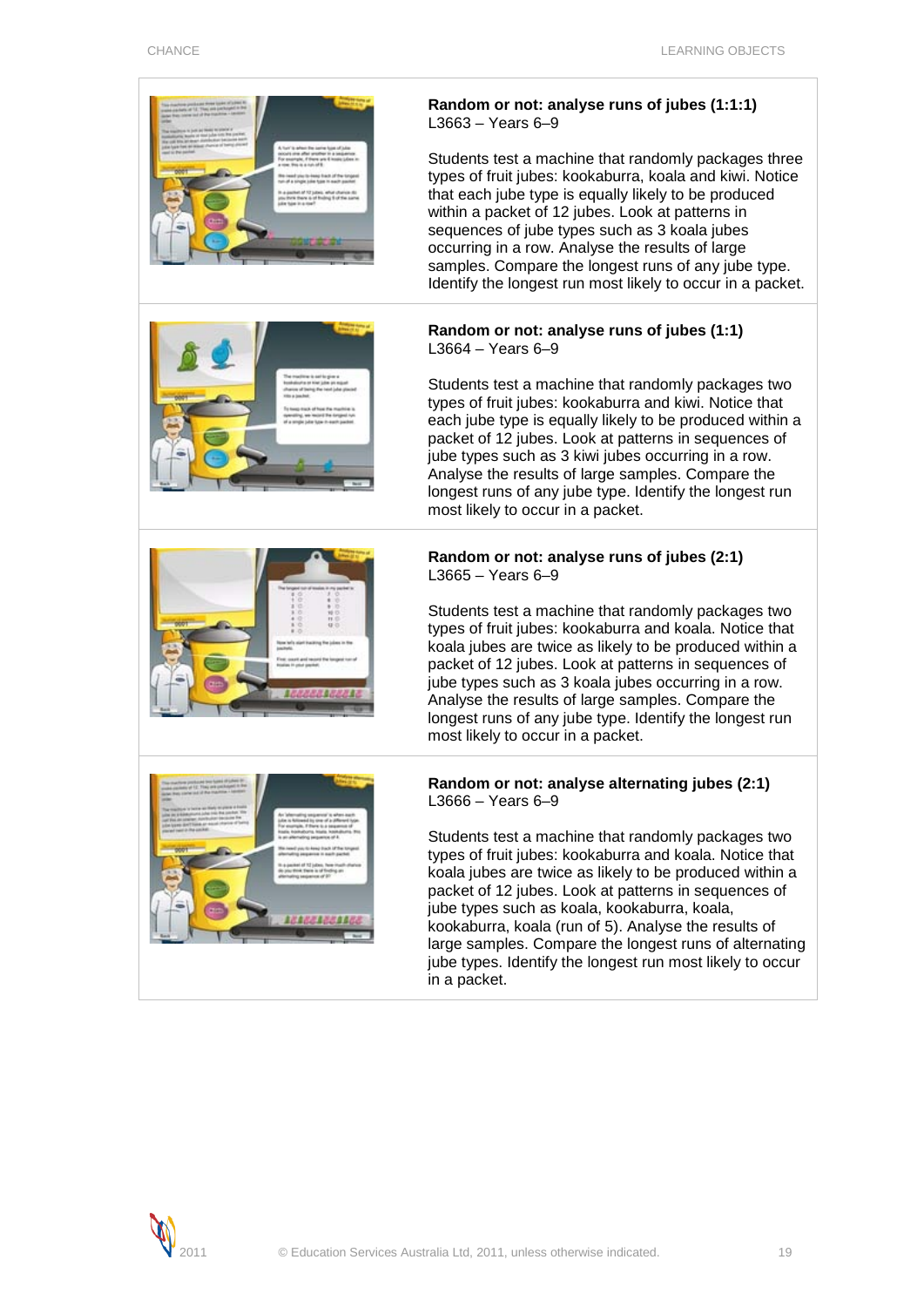

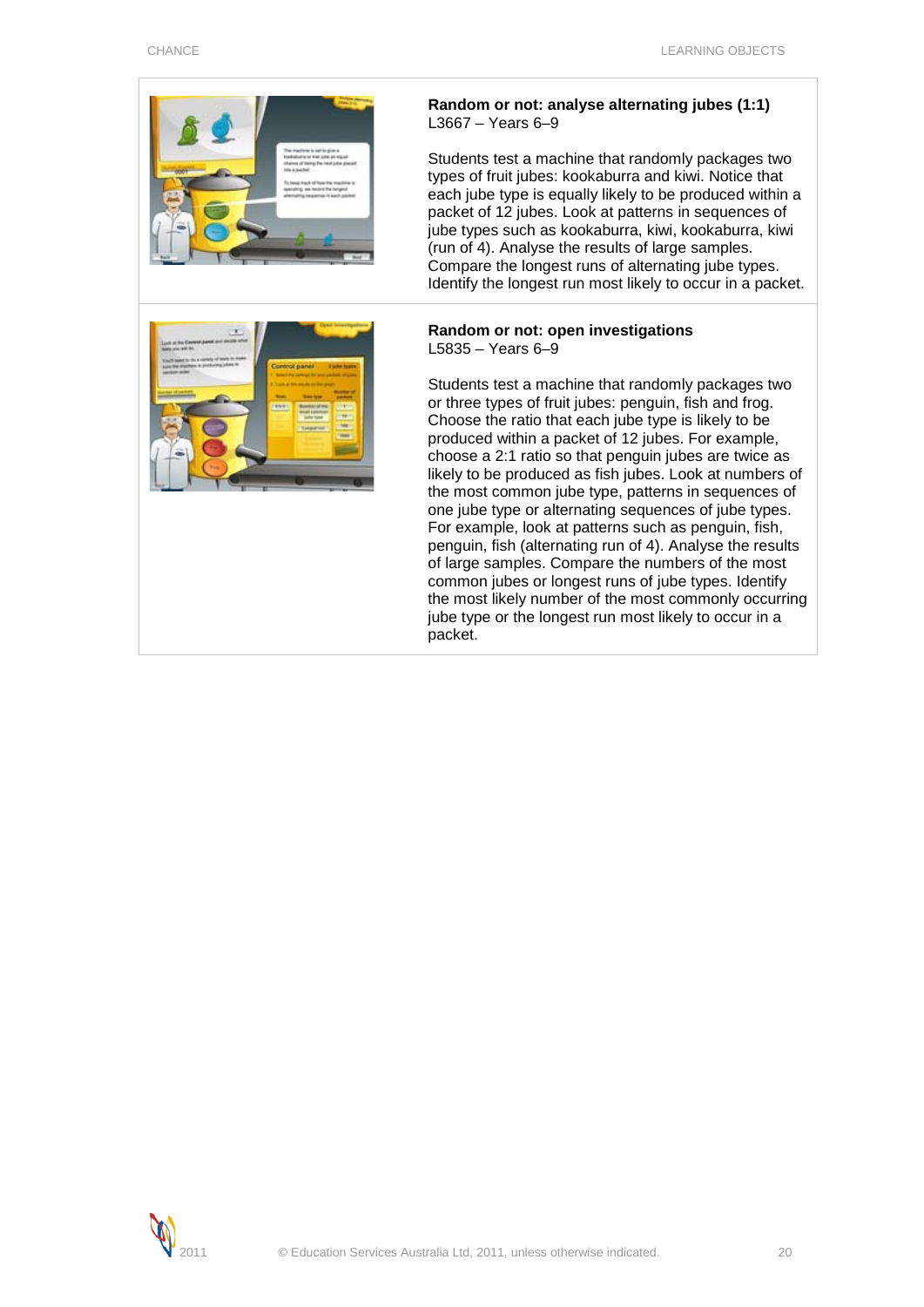



Students test a machine that randomly packages two types of fruit jubes: kookaburra and kiwi. Notice that each jube type is equally likely to be produced within a packet of 12 jubes. Look at patterns in sequences of jube types such as kookaburra, kiwi, kookaburra, kiwi (run of 4). Analyse the results of large samples. Compare the longest runs of alternating jube types. Identify the longest run most likely to occur in a packet.

#### **Random or not: open investigations** L5835 – Years 6–9

Students test a machine that randomly packages two or three types of fruit jubes: penguin, fish and frog. Choose the ratio that each jube type is likely to be produced within a packet of 12 jubes. For example, choose a 2:1 ratio so that penguin jubes are twice as likely to be produced as fish jubes. Look at numbers of the most common jube type, patterns in sequences of one jube type or alternating sequences of jube types. For example, look at patterns such as penguin, fish, penguin, fish (alternating run of 4). Analyse the results of large samples. Compare the numbers of the most common jubes or longest runs of jube types. Identify the most likely number of the most commonly occurring jube type or the longest run most likely to occur in a packet.



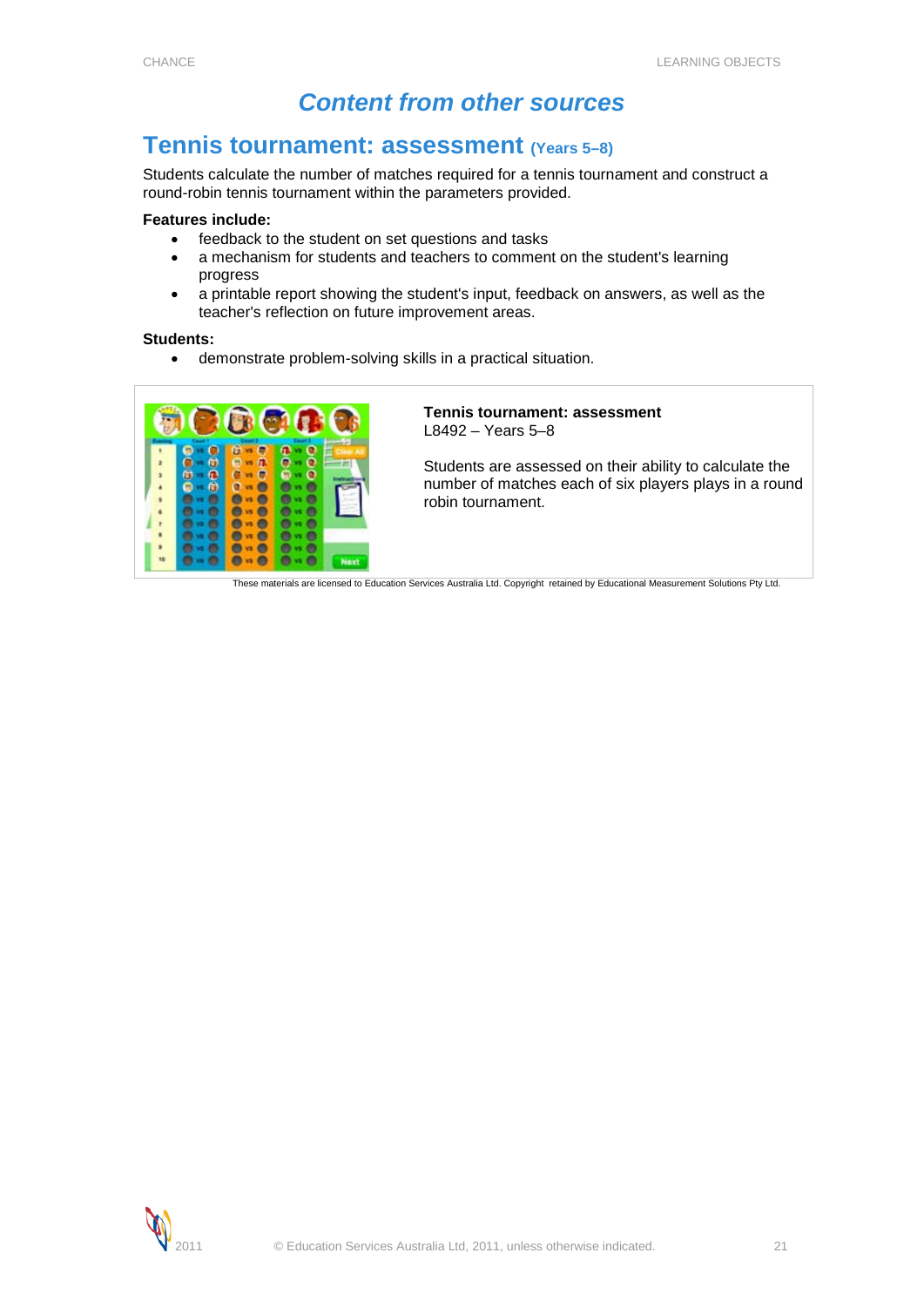# *Content from other sources*

# <span id="page-20-1"></span><span id="page-20-0"></span>**Tennis tournament: assessment (Years 5–8)**

Students calculate the number of matches required for a tennis tournament and construct a round-robin tennis tournament within the parameters provided.

### **Features include:**

- feedback to the student on set questions and tasks
- a mechanism for students and teachers to comment on the student's learning progress
- a printable report showing the student's input, feedback on answers, as well as the teacher's reflection on future improvement areas.

#### **Students:**

• demonstrate problem-solving skills in a practical situation.



### **Tennis tournament: assessment** L8492 – Years 5–8

Students are assessed on their ability to calculate the number of matches each of six players plays in a round robin tournament.

These materials are licensed to Education Services Australia Ltd. Copyright retained by Educational Measurement Solutions Pty Ltd.

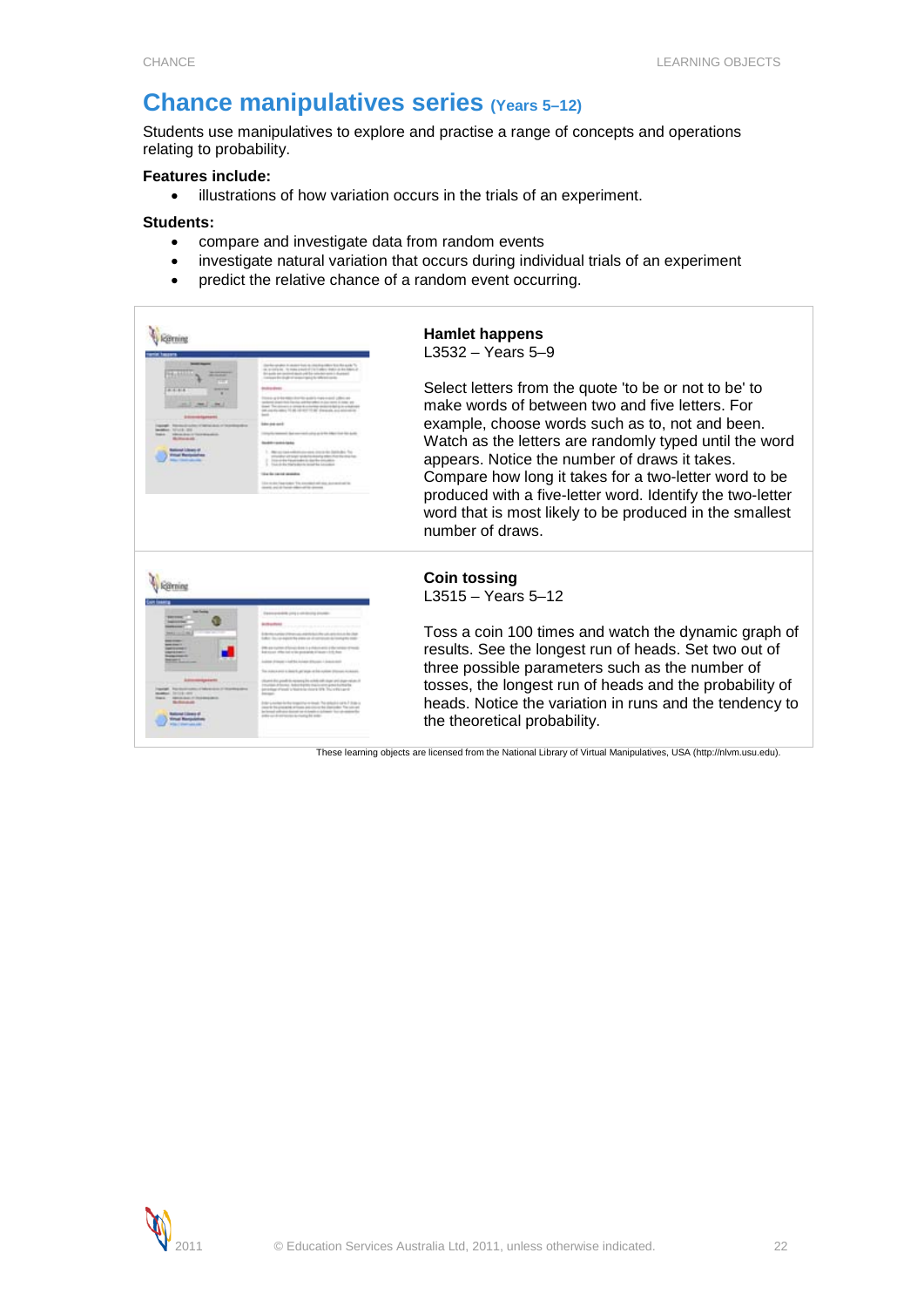# <span id="page-21-0"></span>**Chance manipulatives series (Years 5–12)**

Students use manipulatives to explore and practise a range of concepts and operations relating to probability.

## **Features include:**

• illustrations of how variation occurs in the trials of an experiment.

#### **Students:**

- compare and investigate data from random events
- investigate natural variation that occurs during individual trials of an experiment
- predict the relative chance of a random event occurring.



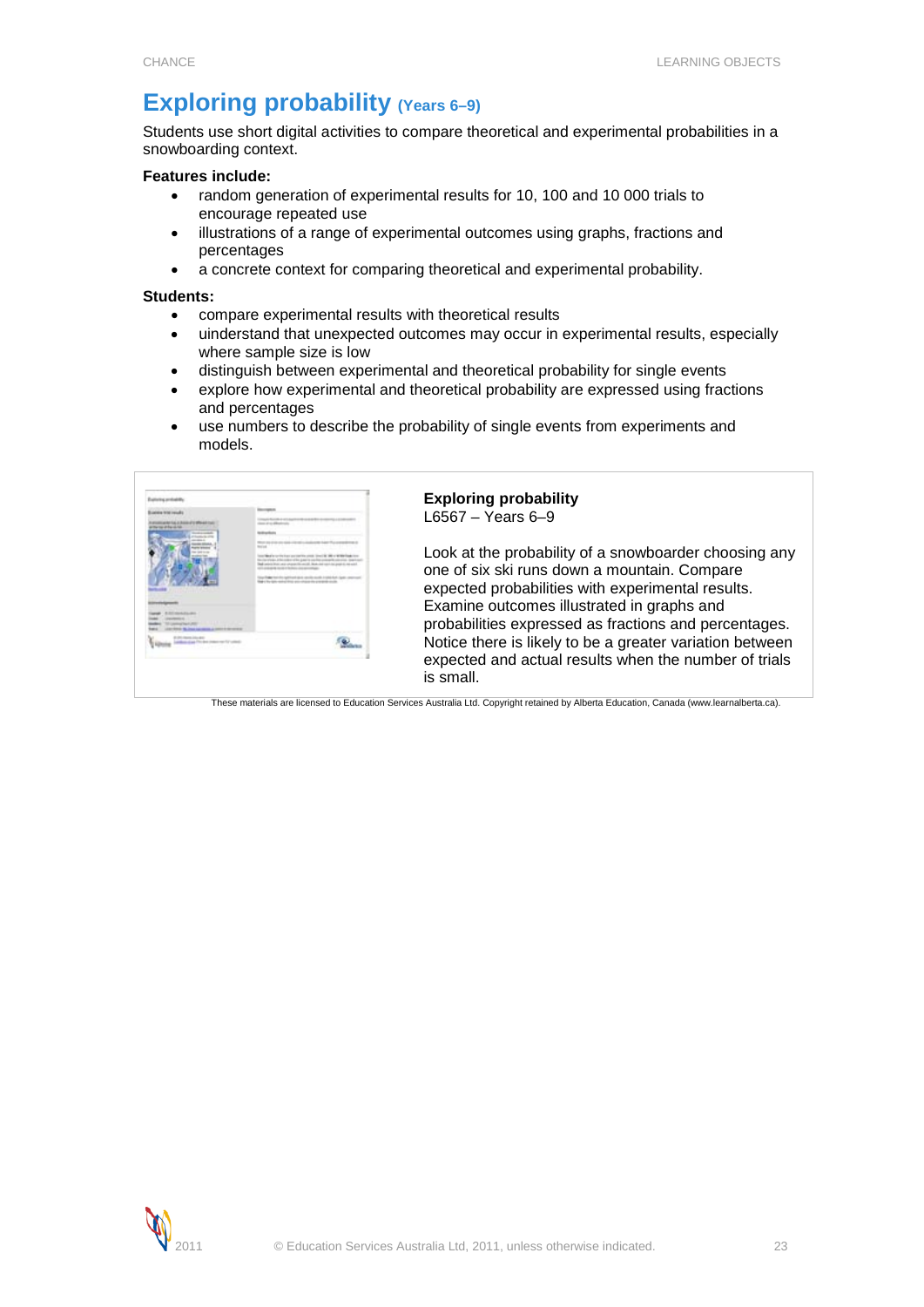# <span id="page-22-0"></span>**Exploring probability (Years 6–9)**

Students use short digital activities to compare theoretical and experimental probabilities in a snowboarding context.

### **Features include:**

- random generation of experimental results for 10, 100 and 10 000 trials to encourage repeated use
- illustrations of a range of experimental outcomes using graphs, fractions and percentages
- a concrete context for comparing theoretical and experimental probability.

#### **Students:**

- compare experimental results with theoretical results
- uinderstand that unexpected outcomes may occur in experimental results, especially where sample size is low
- distinguish between experimental and theoretical probability for single events
- explore how experimental and theoretical probability are expressed using fractions and percentages
- use numbers to describe the probability of single events from experiments and models.



## **Exploring probability** L6567 – Years 6–9

Look at the probability of a snowboarder choosing any one of six ski runs down a mountain. Compare expected probabilities with experimental results. Examine outcomes illustrated in graphs and probabilities expressed as fractions and percentages. Notice there is likely to be a greater variation between expected and actual results when the number of trials is small.

These materials are licensed to Education Services Australia Ltd. Copyright retained by Alberta Education, Canada (www.learnalberta.ca).

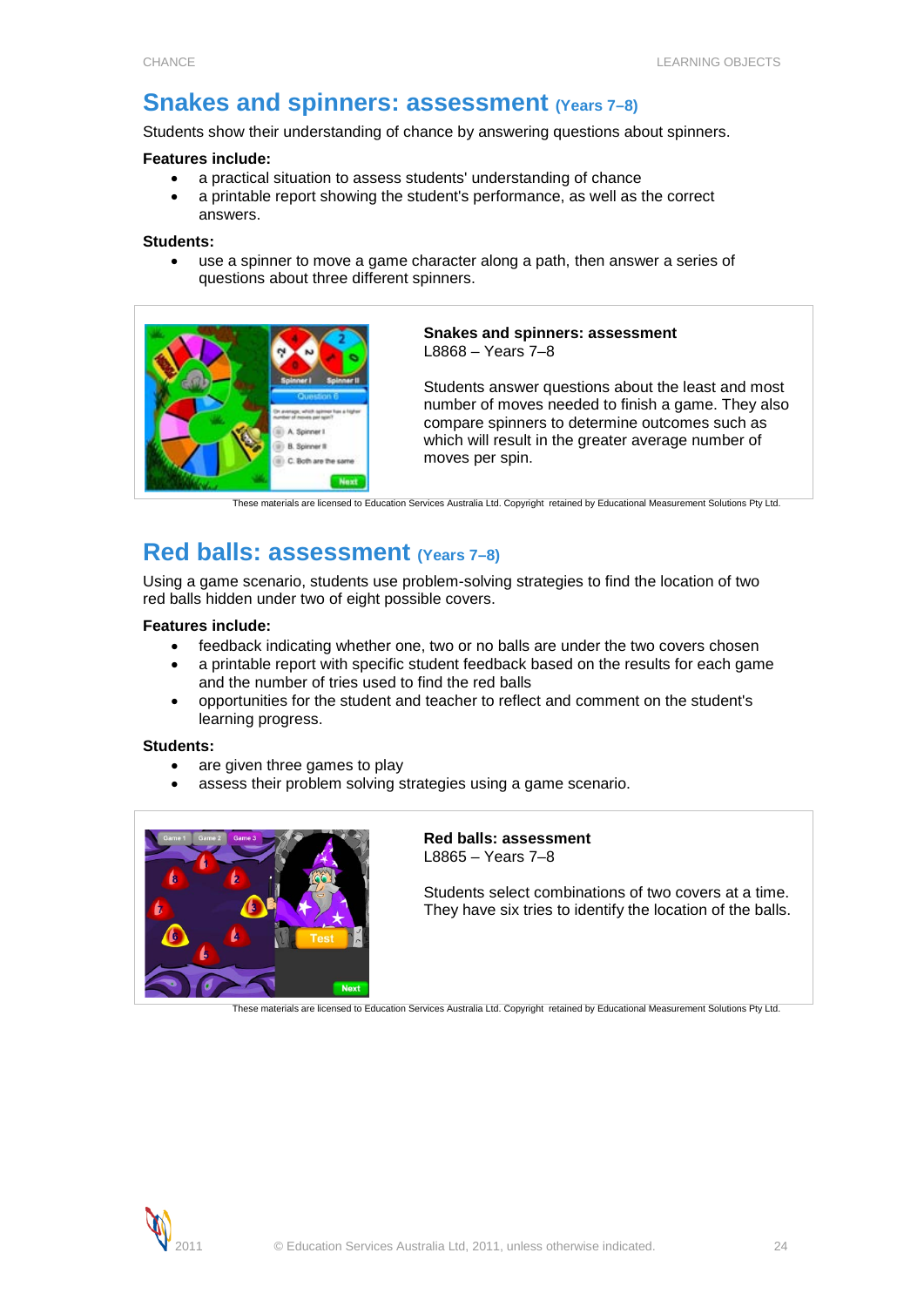# <span id="page-23-0"></span>**Snakes and spinners: assessment (Years 7–8)**

Students show their understanding of chance by answering questions about spinners.

#### **Features include:**

- a practical situation to assess students' understanding of chance
- a printable report showing the student's performance, as well as the correct answers.

#### **Students:**

use a spinner to move a game character along a path, then answer a series of questions about three different spinners.



#### **Snakes and spinners: assessment** L8868 – Years 7–8

Students answer questions about the least and most number of moves needed to finish a game. They also compare spinners to determine outcomes such as which will result in the greater average number of moves per spin.

These materials are licensed to Education Services Australia Ltd. Copyright retained by Educational Measurement Solutions Pty Ltd.

# <span id="page-23-1"></span>**Red balls: assessment (Years 7–8)**

Using a game scenario, students use problem-solving strategies to find the location of two red balls hidden under two of eight possible covers.

**Features include:**

- feedback indicating whether one, two or no balls are under the two covers chosen
- a printable report with specific student feedback based on the results for each game and the number of tries used to find the red balls
- opportunities for the student and teacher to reflect and comment on the student's learning progress.

### **Students:**

- are given three games to play
- assess their problem solving strategies using a game scenario.



**Red balls: assessment** L8865 – Years 7–8

Students select combinations of two covers at a time. They have six tries to identify the location of the balls.

These materials are licensed to Education Services Australia Ltd. Copyright retained by Educational Measurement Solutions Pty Ltd.

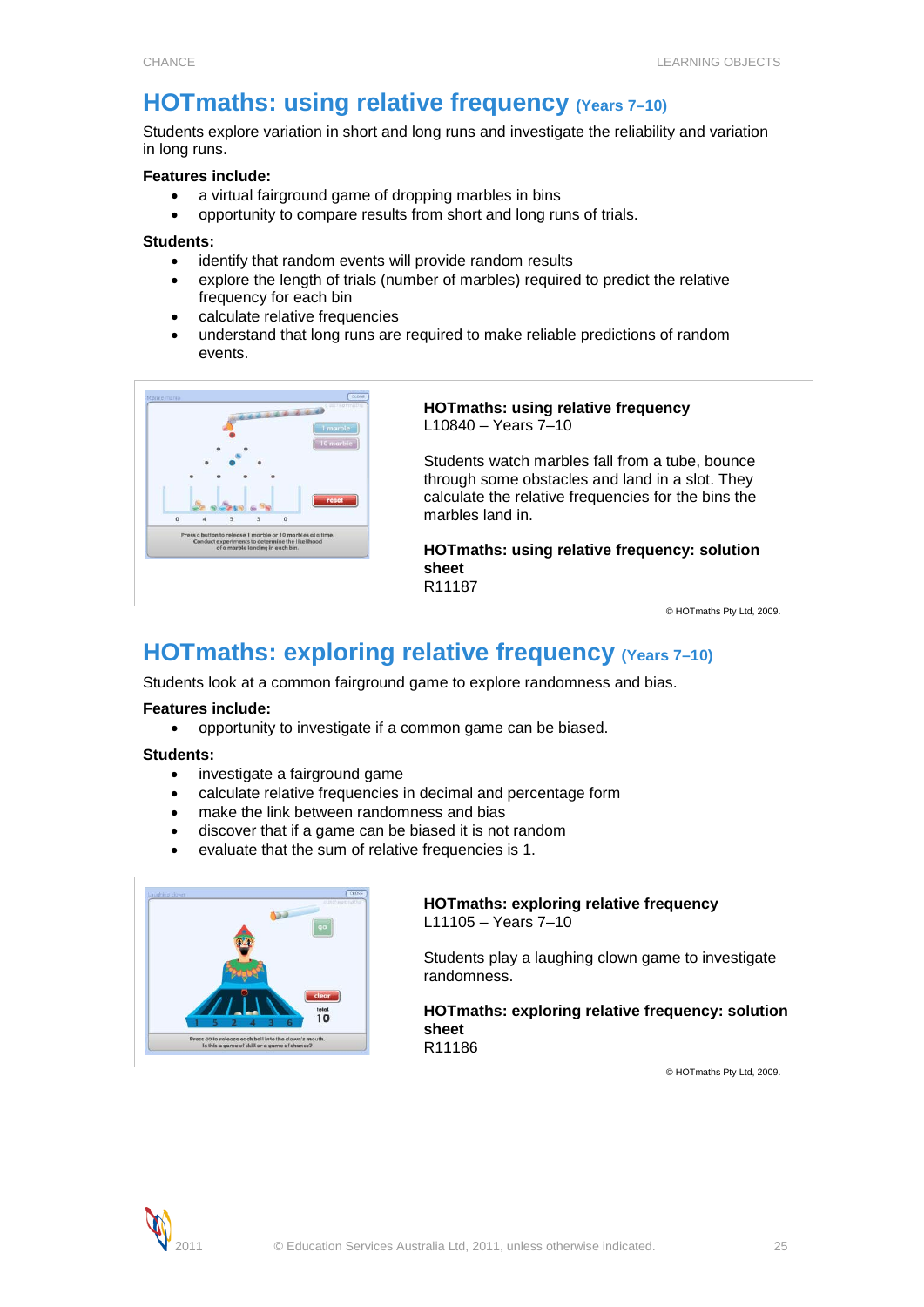# <span id="page-24-0"></span>**HOTmaths: using relative frequency (Years 7-10)**

Students explore variation in short and long runs and investigate the reliability and variation in long runs.

## **Features include:**

- a virtual fairground game of dropping marbles in bins
- opportunity to compare results from short and long runs of trials.

#### **Students:**

- identify that random events will provide random results
- explore the length of trials (number of marbles) required to predict the relative frequency for each bin
- calculate relative frequencies
- understand that long runs are required to make reliable predictions of random events.



### **HOTmaths: using relative frequency** L10840 – Years 7–10

Students watch marbles fall from a tube, bounce through some obstacles and land in a slot. They calculate the relative frequencies for the bins the marbles land in.

**HOTmaths: using relative frequency: solution sheet** R11187

© HOTmaths Pty Ltd, 2009.

# <span id="page-24-1"></span>**HOTmaths: exploring relative frequency (Years 7-10)**

Students look at a common fairground game to explore randomness and bias.

# **Features include:**

• opportunity to investigate if a common game can be biased.

### **Students:**

- investigate a fairground game
- calculate relative frequencies in decimal and percentage form
- make the link between randomness and bias
- discover that if a game can be biased it is not random
- evaluate that the sum of relative frequencies is 1.



#### **HOTmaths: exploring relative frequency** L11105 – Years 7–10

Students play a laughing clown game to investigate randomness.

**HOTmaths: exploring relative frequency: solution sheet** R11186

© HOTmaths Pty Ltd, 2009.

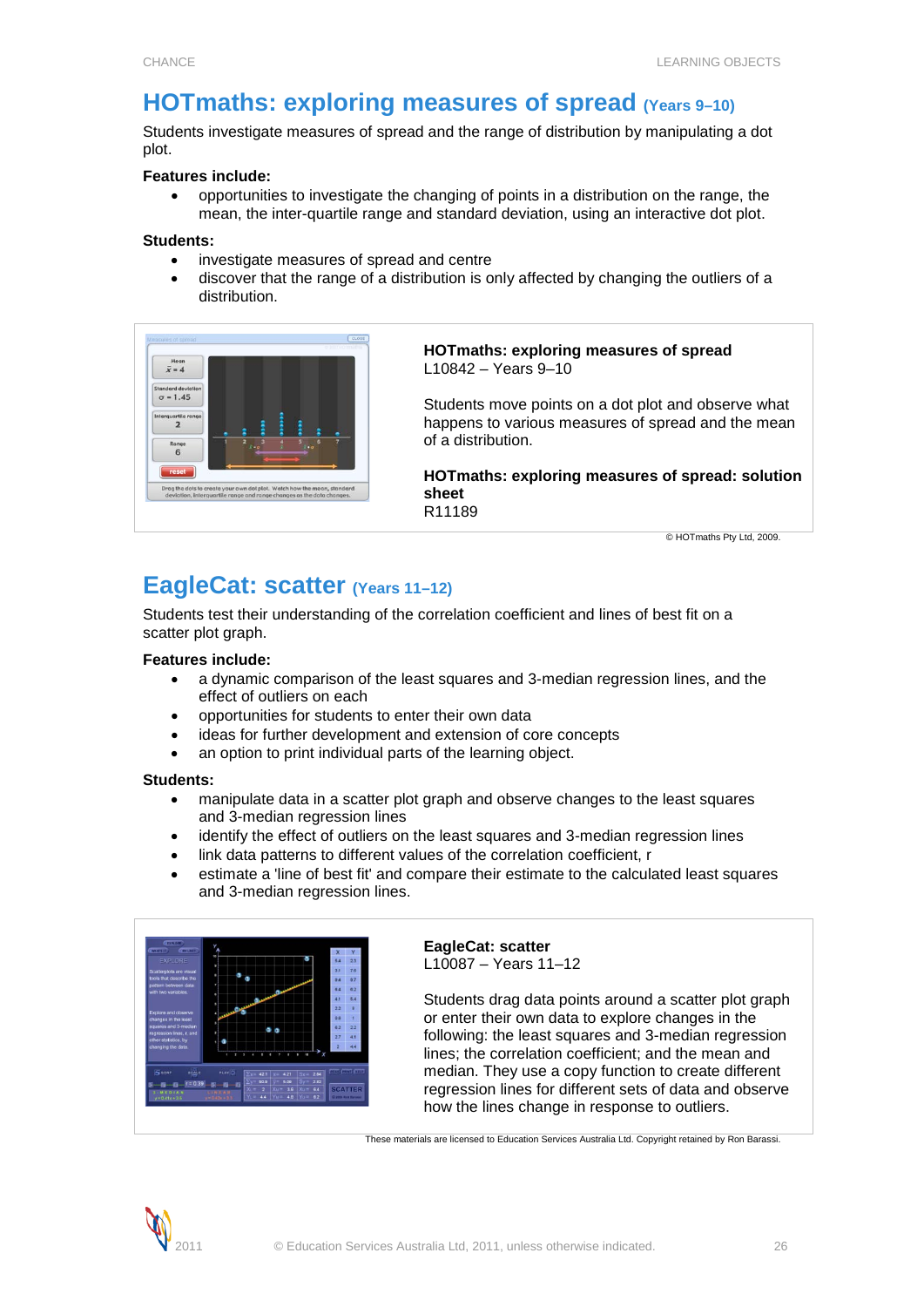# <span id="page-25-0"></span>**HOTmaths: exploring measures of spread (Years 9-10)**

Students investigate measures of spread and the range of distribution by manipulating a dot plot.

### **Features include:**

• opportunities to investigate the changing of points in a distribution on the range, the mean, the inter-quartile range and standard deviation, using an interactive dot plot.

### **Students:**

- investigate measures of spread and centre
- discover that the range of a distribution is only affected by changing the outliers of a distribution.



**HOTmaths: exploring measures of spread** L10842 – Years 9–10

Students move points on a dot plot and observe what happens to various measures of spread and the mean of a distribution.

**HOTmaths: exploring measures of spread: solution sheet** R11189

© HOTmaths Pty Ltd, 2009.

# <span id="page-25-1"></span>**EagleCat: scatter (Years 11–12)**

Students test their understanding of the correlation coefficient and lines of best fit on a scatter plot graph.

### **Features include:**

- a dynamic comparison of the least squares and 3-median regression lines, and the effect of outliers on each
- opportunities for students to enter their own data
- ideas for further development and extension of core concepts
- an option to print individual parts of the learning object.

### **Students:**

- manipulate data in a scatter plot graph and observe changes to the least squares and 3-median regression lines
- identify the effect of outliers on the least squares and 3-median regression lines
- link data patterns to different values of the correlation coefficient, r
- estimate a 'line of best fit' and compare their estimate to the calculated least squares and 3-median regression lines.



**EagleCat: scatter** L10087 – Years 11–12

Students drag data points around a scatter plot graph or enter their own data to explore changes in the following: the least squares and 3-median regression lines; the correlation coefficient; and the mean and median. They use a copy function to create different regression lines for different sets of data and observe how the lines change in response to outliers.

These materials are licensed to Education Services Australia Ltd. Copyright retained by Ron Barassi.

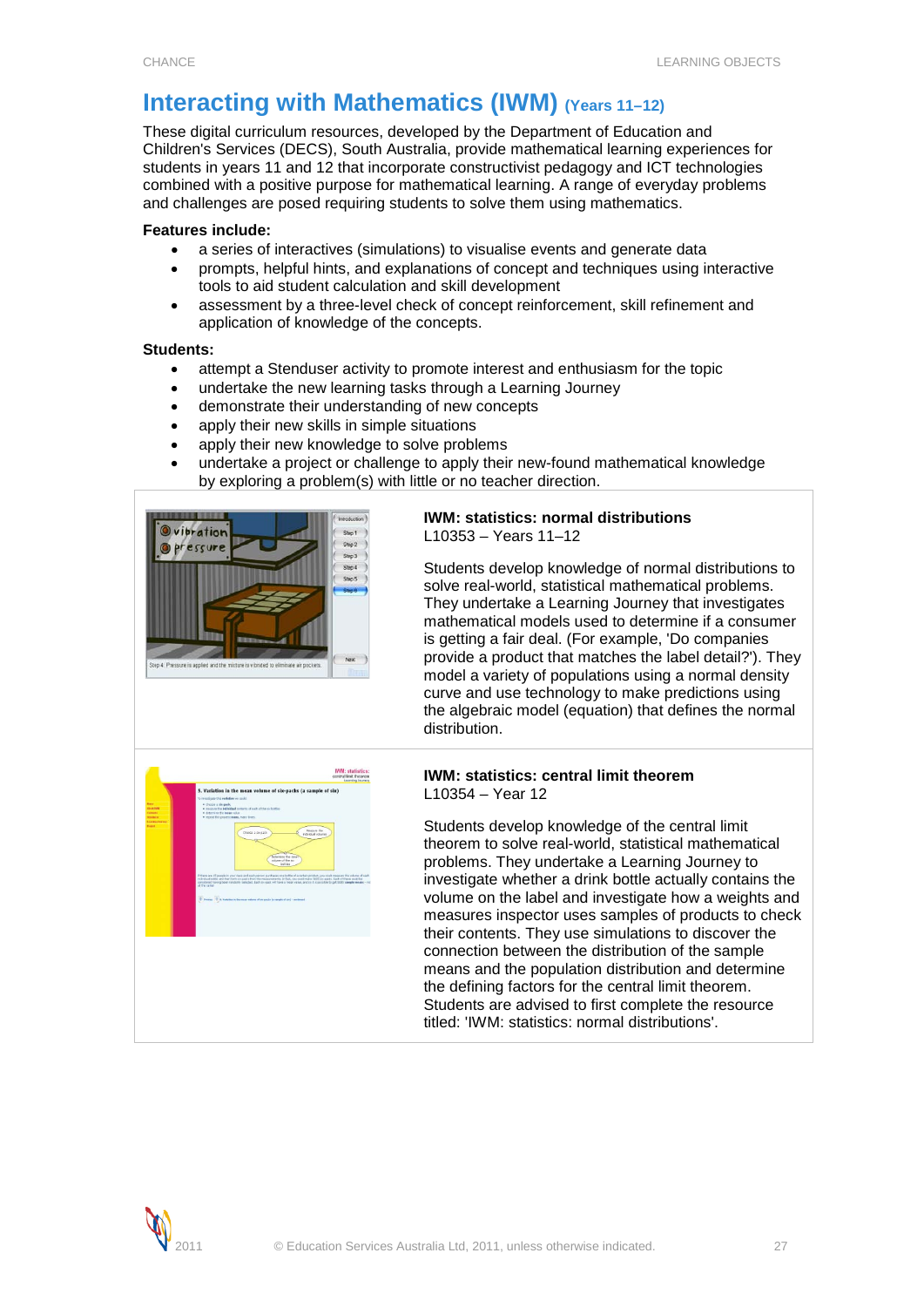# <span id="page-26-0"></span>**Interacting with Mathematics (IWM) (Years 11-12)**

These digital curriculum resources, developed by the Department of Education and Children's Services (DECS), South Australia, provide mathematical learning experiences for students in years 11 and 12 that incorporate constructivist pedagogy and ICT technologies combined with a positive purpose for mathematical learning. A range of everyday problems and challenges are posed requiring students to solve them using mathematics.

# **Features include:**

- a series of interactives (simulations) to visualise events and generate data
- prompts, helpful hints, and explanations of concept and techniques using interactive tools to aid student calculation and skill development
- assessment by a three-level check of concept reinforcement, skill refinement and application of knowledge of the concepts.

# **Students:**

- attempt a Stenduser activity to promote interest and enthusiasm for the topic
- undertake the new learning tasks through a Learning Journey
- demonstrate their understanding of new concepts
- apply their new skills in simple situations
- apply their new knowledge to solve problems
- undertake a project or challenge to apply their new-found mathematical knowledge by exploring a problem(s) with little or no teacher direction.



-<br>Measure the

#### **IWM: statistics: normal distributions** L10353 – Years 11–12

Students develop knowledge of normal distributions to solve real-world, statistical mathematical problems. They undertake a Learning Journey that investigates mathematical models used to determine if a consumer is getting a fair deal. (For example, 'Do companies provide a product that matches the label detail?'). They model a variety of populations using a normal density curve and use technology to make predictions using the algebraic model (equation) that defines the normal distribution.



Students develop knowledge of the central limit theorem to solve real-world, statistical mathematical problems. They undertake a Learning Journey to investigate whether a drink bottle actually contains the volume on the label and investigate how a weights and measures inspector uses samples of products to check their contents. They use simulations to discover the connection between the distribution of the sample means and the population distribution and determine the defining factors for the central limit theorem. Students are advised to first complete the resource titled: 'IWM: statistics: normal distributions'.

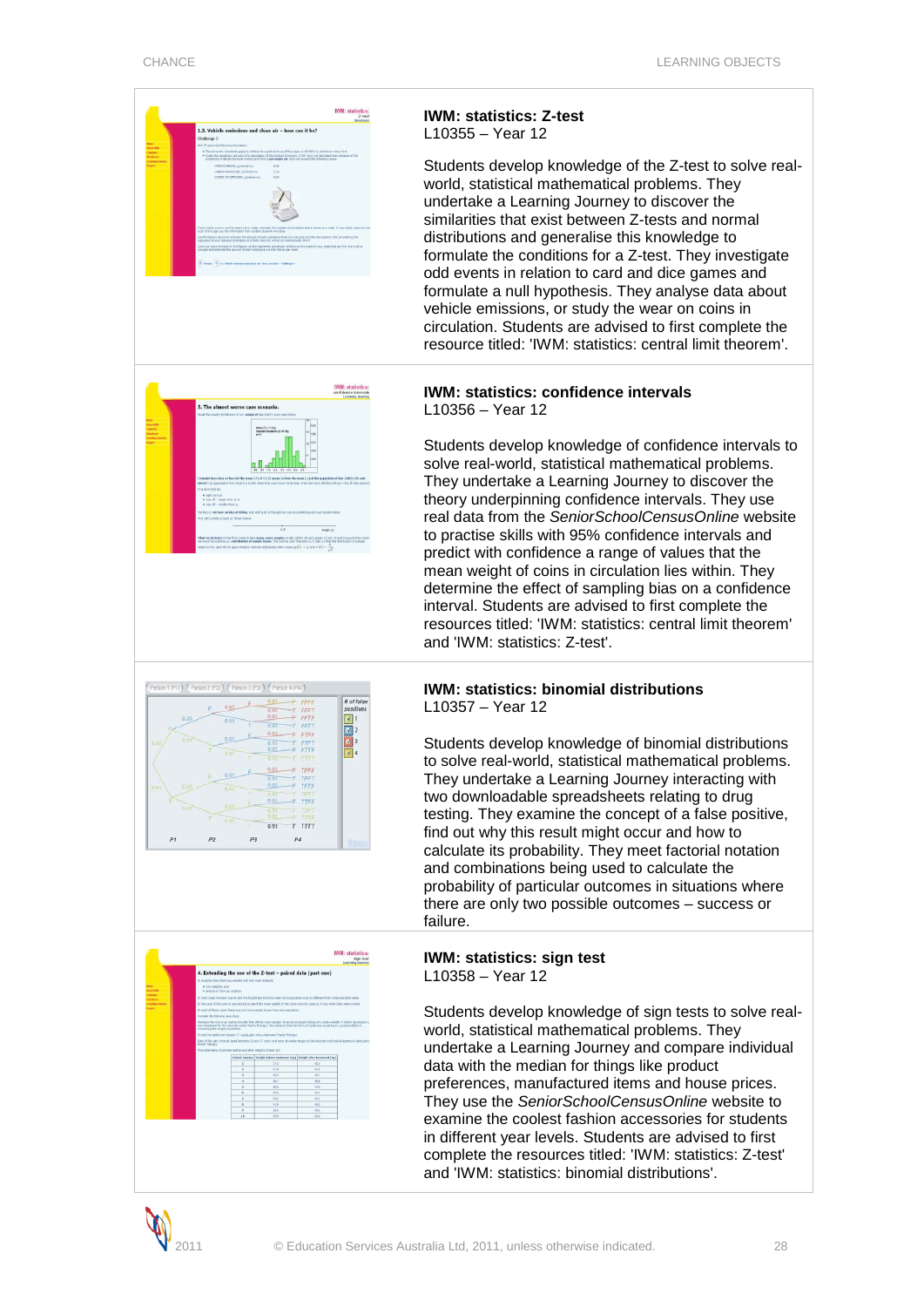

### **IWM: statistics: Z-test** L10355 – Year 12

Students develop knowledge of the Z-test to solve realworld, statistical mathematical problems. They undertake a Learning Journey to discover the similarities that exist between Z-tests and normal distributions and generalise this knowledge to formulate the conditions for a Z-test. They investigate odd events in relation to card and dice games and formulate a null hypothesis. They analyse data about vehicle emissions, or study the wear on coins in circulation. Students are advised to first complete the resource titled: 'IWM: statistics: central limit theorem'.

# **IWM: statistics: confidence intervals** L10356 – Year 12

Students develop knowledge of confidence intervals to solve real-world, statistical mathematical problems. They undertake a Learning Journey to discover the theory underpinning confidence intervals. They use real data from the *SeniorSchoolCensusOnline* website to practise skills with 95% confidence intervals and predict with confidence a range of values that the mean weight of coins in circulation lies within. They determine the effect of sampling bias on a confidence interval. Students are advised to first complete the resources titled: 'IWM: statistics: central limit theorem' and 'IWM: statistics: Z-test'.





### **IWM: statistics: binomial distributions** L10357 – Year 12

Students develop knowledge of binomial distributions to solve real-world, statistical mathematical problems. They undertake a Learning Journey interacting with two downloadable spreadsheets relating to drug testing. They examine the concept of a false positive, find out why this result might occur and how to calculate its probability. They meet factorial notation and combinations being used to calculate the probability of particular outcomes in situations where there are only two possible outcomes – success or failure.

#### **IWM: statistics: sign test** L10358 – Year 12

Students develop knowledge of sign tests to solve realworld, statistical mathematical problems. They undertake a Learning Journey and compare individual data with the median for things like product preferences, manufactured items and house prices. They use the *SeniorSchoolCensusOnline* website to examine the coolest fashion accessories for students in different year levels. Students are advised to first complete the resources titled: 'IWM: statistics: Z-test' and 'IWM: statistics: binomial distributions'.